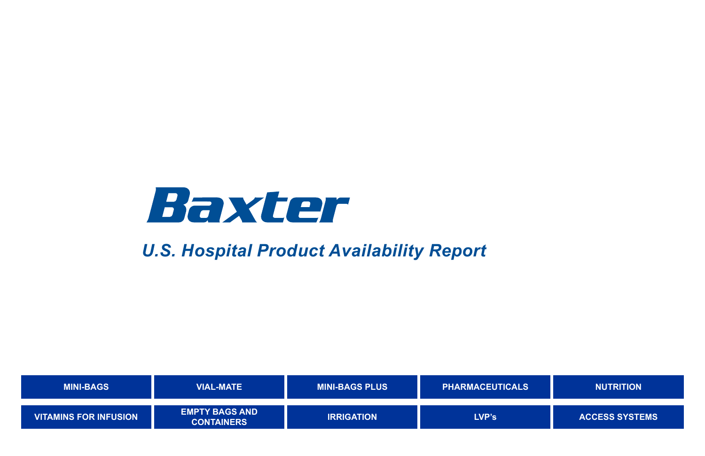| <b>MINI-BAGS</b>             | <b>VIAL-MATE</b>                           | <b>MINI-BAGS PLUS</b> | <b>PHARMACEUTICALS</b> | <b>NUTRITION</b>    |
|------------------------------|--------------------------------------------|-----------------------|------------------------|---------------------|
| <b>VITAMINS FOR INFUSION</b> | <b>EMPTY BAGS AND</b><br><b>CONTAINERS</b> | <b>IRRIGATION</b>     | <b>LVP's</b>           | <b>ACCESS SYSTI</b> |



## **[ACCESS SYSTEMS](#page-17-0)**

<span id="page-0-0"></span>

# *U.S. Hospital Product Availability Report*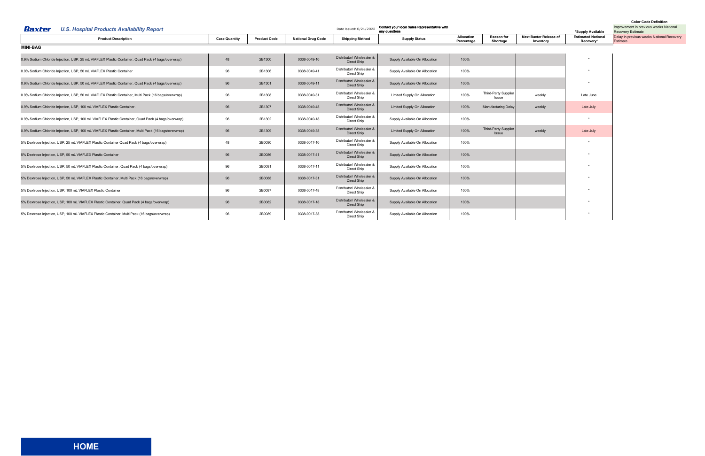<span id="page-1-0"></span>

| Baxter<br><b>U.S. Hospital Products Availability Report</b>                                          |                      |                     |                           | Date Issued: 6/21/2022                   | Contact your local Sales Representative with<br>any questions |                          |                                      | Improvement in previous weeks National<br><b>Recovery Estimate</b> |                                        |                                                       |
|------------------------------------------------------------------------------------------------------|----------------------|---------------------|---------------------------|------------------------------------------|---------------------------------------------------------------|--------------------------|--------------------------------------|--------------------------------------------------------------------|----------------------------------------|-------------------------------------------------------|
| <b>Product Description</b>                                                                           | <b>Case Quantity</b> | <b>Product Code</b> | <b>National Drug Code</b> | <b>Shipping Method</b>                   | <b>Supply Status</b>                                          | Allocation<br>Percentage | <b>Reason for</b><br>Shortage        | <b>Next Baxter Release of</b><br>Inventory                         | <b>Estimated National</b><br>Recovery* | Delay in previous weeks National Recovery<br>Estimate |
| <b>MINI-BAG</b>                                                                                      |                      |                     |                           |                                          |                                                               |                          |                                      |                                                                    |                                        |                                                       |
| 0.9% Sodium Chloride Injection, USP, 25 mL VIAFLEX Plastic Container, Quad Pack (4 bags/overwrap)    | 48                   | 2B1300              | 0338-0049-10              | Distributor/ Wholesaler &<br>Direct Ship | Supply Available On Allocation                                | 100%                     |                                      |                                                                    |                                        |                                                       |
| 0.9% Sodium Chloride Injection, USP, 50 mL VIAFLEX Plastic Container                                 | 96                   | 2B1306              | 0338-0049-41              | Distributor/ Wholesaler &<br>Direct Ship | Supply Available On Allocation                                | 100%                     |                                      |                                                                    |                                        |                                                       |
| 0.9% Sodium Chloride Injection, USP, 50 mL VIAFLEX Plastic Container, Quad Pack (4 bags/overwrap)    | 96                   | 2B1301              | 0338-0049-11              | Distributor/ Wholesaler &<br>Direct Ship | Supply Available On Allocation                                | 100%                     |                                      |                                                                    |                                        |                                                       |
| 0.9% Sodium Chloride Injection, USP, 50 mL VIAFLEX Plastic Container, Multi Pack (16 bags/overwrap)  | 96                   | 2B1308              | 0338-0049-31              | Distributor/ Wholesaler &<br>Direct Ship | Limited Supply On Allocation                                  | 100%                     | Third-Party Supplier<br><b>Issue</b> | weekly                                                             | Late June                              |                                                       |
| 0.9% Sodium Chloride Injection, USP, 100 mL VIAFLEX Plastic Container.                               | 96                   | 2B1307              | 0338-0049-48              | Distributor/ Wholesaler &<br>Direct Ship | <b>Limited Supply On Allocation</b>                           | 100%                     | <b>Manufacturing Delay</b>           | weekly                                                             | Late July                              |                                                       |
| 0.9% Sodium Chloride Injection, USP, 100 mL VIAFLEX Plastic Container, Quad Pack (4 bags/overwrap)   | 96                   | 2B1302              | 0338-0049-18              | Distributor/ Wholesaler &<br>Direct Ship | Supply Available On Allocation                                | 100%                     |                                      |                                                                    | $\mathbf{r}$                           |                                                       |
| 0.9% Sodium Chloride Injection, USP, 100 mL VIAFLEX Plastic Container, Multi Pack (16 bags/overwrap) | 96                   | 2B1309              | 0338-0049-38              | Distributor/ Wholesaler &<br>Direct Ship | Limited Supply On Allocation                                  | 100%                     | Third-Party Supplier<br><b>Issue</b> | weekly                                                             | Late July                              |                                                       |
| 5% Dextrose Injection, USP, 25 mL VIAFLEX Plastic Container Quad Pack (4 bags/overwrap)              | 48                   | 2B0080              | 0338-0017-10              | Distributor/ Wholesaler &<br>Direct Ship | Supply Available On Allocation                                | 100%                     |                                      |                                                                    |                                        |                                                       |
| 5% Dextrose Injection, USP, 50 mL VIAFLEX Plastic Container                                          | 96                   | 2B0086              | 0338-0017-41              | Distributor/ Wholesaler &<br>Direct Ship | Supply Available On Allocation                                | 100%                     |                                      |                                                                    |                                        |                                                       |
| 5% Dextrose Injection, USP, 50 mL VIAFLEX Plastic Container, Quad Pack (4 bags/overwrap)             | 96                   | 2B0081              | 0338-0017-11              | Distributor/ Wholesaler &<br>Direct Ship | Supply Available On Allocation                                | 100%                     |                                      |                                                                    |                                        |                                                       |
| 5% Dextrose Injection, USP, 50 mL VIAFLEX Plastic Container, Multi Pack (16 bags/overwrap)           | 96                   | 2B0088              | 0338-0017-31              | Distributor/ Wholesaler &<br>Direct Ship | Supply Available On Allocation                                | 100%                     |                                      |                                                                    |                                        |                                                       |
| 5% Dextrose Injection, USP, 100 mL VIAFLEX Plastic Container                                         | 96                   | 2B0087              | 0338-0017-48              | Distributor/ Wholesaler &<br>Direct Ship | Supply Available On Allocation                                | 100%                     |                                      |                                                                    |                                        |                                                       |
| 5% Dextrose Injection, USP, 100 mL VIAFLEX Plastic Container, Quad Pack (4 bags/overwrap)            | 96                   | 2B0082              | 0338-0017-18              | Distributor/ Wholesaler &<br>Direct Ship | Supply Available On Allocation                                | 100%                     |                                      |                                                                    |                                        |                                                       |
| 5% Dextrose Injection, USP, 100 mL VIAFLEX Plastic Container, Multi Pack (16 bags/overwrap)          | 96                   | 2B0089              | 0338-0017-38              | Distributor/ Wholesaler &<br>Direct Ship | Supply Available On Allocation                                | 100%                     |                                      |                                                                    | $\star$                                |                                                       |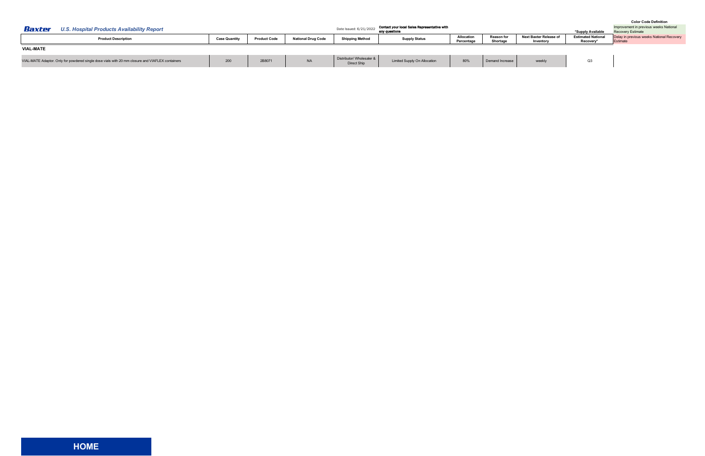<span id="page-2-0"></span>

| Baxter           | <b>U.S. Hospital Products Availability Report</b>                                                |                      |                     |                           | Date Issued: 6/21/2022                   | Contact your local Sales Representative with<br>any questions |                                 |                               |                                     | *Supply Available                      | Improvement in previous weeks National<br><b>Recovery Estimate</b> |
|------------------|--------------------------------------------------------------------------------------------------|----------------------|---------------------|---------------------------|------------------------------------------|---------------------------------------------------------------|---------------------------------|-------------------------------|-------------------------------------|----------------------------------------|--------------------------------------------------------------------|
|                  | <b>Product Description</b>                                                                       | <b>Case Quantity</b> | <b>Product Code</b> | <b>National Drug Code</b> | <b>Shipping Method</b>                   | <b>Supply Status</b>                                          | <b>Allocation</b><br>Percentage | <b>Reason for</b><br>Shortage | Next Baxter Release of<br>Inventory | <b>Estimated National</b><br>Recovery* | Delay in previous weeks National Recovery<br>Estimate              |
| <b>VIAL-MATE</b> |                                                                                                  |                      |                     |                           |                                          |                                                               |                                 |                               |                                     |                                        |                                                                    |
|                  | VIAL-MATE Adaptor. Only for powdered single dose vials with 20 mm closure and VIAFLEX containers | 200                  | 2B807               | <b>NA</b>                 | Distributor/ Wholesaler &<br>Direct Ship | <b>Limited Supply On Allocation</b>                           | 80%                             | Demand Increase               | weekly                              | Q3                                     |                                                                    |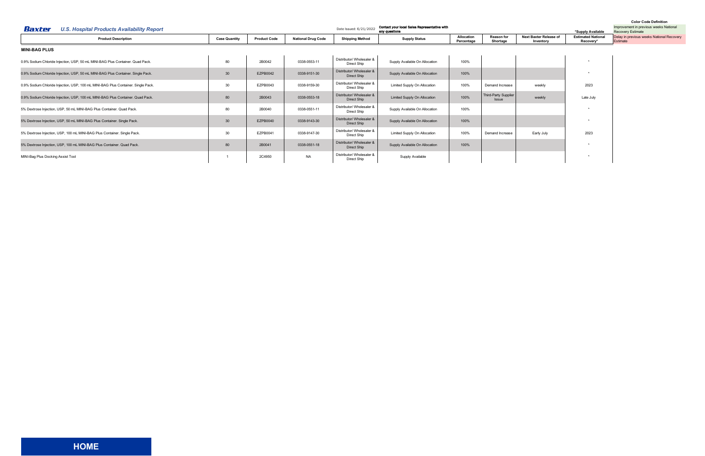<span id="page-3-0"></span>

| Baxter<br>U.S. Hospital Products Availability Report                              |                      | Contact your local Sales Representative with<br>Date Issued: 6/21/2022<br>any questions |                           |                                          |                                |                          |                                      |                                            | *Supply Available                      | Improvement in previous weeks National<br><b>Recovery Estimate</b> |
|-----------------------------------------------------------------------------------|----------------------|-----------------------------------------------------------------------------------------|---------------------------|------------------------------------------|--------------------------------|--------------------------|--------------------------------------|--------------------------------------------|----------------------------------------|--------------------------------------------------------------------|
| <b>Product Description</b>                                                        | <b>Case Quantity</b> | <b>Product Code</b>                                                                     | <b>National Drug Code</b> | <b>Shipping Method</b>                   | <b>Supply Status</b>           | Allocation<br>Percentage | <b>Reason for</b><br>Shortage        | <b>Next Baxter Release of</b><br>Inventory | <b>Estimated National</b><br>Recovery* | Delay in previous weeks National Recovery<br>Estimate              |
| <b>MINI-BAG PLUS</b>                                                              |                      |                                                                                         |                           |                                          |                                |                          |                                      |                                            |                                        |                                                                    |
| 0.9% Sodium Chloride Injection, USP, 50 mL MINI-BAG Plus Container. Quad Pack.    | 80                   | 2B0042                                                                                  | 0338-0553-11              | Distributor/ Wholesaler &<br>Direct Ship | Supply Available On Allocation | 100%                     |                                      |                                            |                                        |                                                                    |
| 0.9% Sodium Chloride Injection, USP, 50 mL MINI-BAG Plus Container. Single Pack.  | 30                   | EZPB0042                                                                                | 0338-9151-30              | Distributor/ Wholesaler &<br>Direct Ship | Supply Available On Allocation | 100%                     |                                      |                                            |                                        |                                                                    |
| 0.9% Sodium Chloride Injection, USP, 100 mL MINI-BAG Plus Container. Single Pack. | 30                   | EZPB0043                                                                                | 0338-9159-30              | Distributor/ Wholesaler &<br>Direct Ship | Limited Supply On Allocation   | 100%                     | Demand Increase                      | weekly                                     | 2023                                   |                                                                    |
| 0.9% Sodium Chloride Injection, USP, 100 mL MINI-BAG Plus Container. Quad Pack.   | 80                   | 2B0043                                                                                  | 0338-0553-18              | Distributor/ Wholesaler &<br>Direct Ship | Limited Supply On Allocation   | 100%                     | Third-Party Supplier<br><b>Issue</b> | weekly                                     | Late July                              |                                                                    |
| 5% Dextrose Injection, USP, 50 mL MINI-BAG Plus Container. Quad Pack.             | 80                   | 2B0040                                                                                  | 0338-0551-11              | Distributor/ Wholesaler &<br>Direct Ship | Supply Available On Allocation | 100%                     |                                      |                                            |                                        |                                                                    |
| 5% Dextrose Injection, USP, 50 mL MINI-BAG Plus Container. Single Pack.           | 30                   | EZPB0040                                                                                | 0338-9143-30              | Distributor/ Wholesaler &<br>Direct Ship | Supply Available On Allocation | 100%                     |                                      |                                            |                                        |                                                                    |
| 5% Dextrose Injection, USP, 100 mL MINI-BAG Plus Container. Single Pack.          | 30                   | EZPB0041                                                                                | 0338-9147-30              | Distributor/ Wholesaler &<br>Direct Ship | Limited Supply On Allocation   | 100%                     | Demand Increase                      | Early July                                 | 2023                                   |                                                                    |
| 5% Dextrose Injection, USP, 100 mL MINI-BAG Plus Container. Quad Pack.            | 80                   | 2B0041                                                                                  | 0338-0551-18              | Distributor/ Wholesaler &<br>Direct Ship | Supply Available On Allocation | 100%                     |                                      |                                            |                                        |                                                                    |
| MINI-Bag Plus Docking Assist Tool                                                 |                      | 2C4950                                                                                  | <b>NA</b>                 | Distributor/ Wholesaler &<br>Direct Ship | Supply Available               |                          |                                      |                                            |                                        |                                                                    |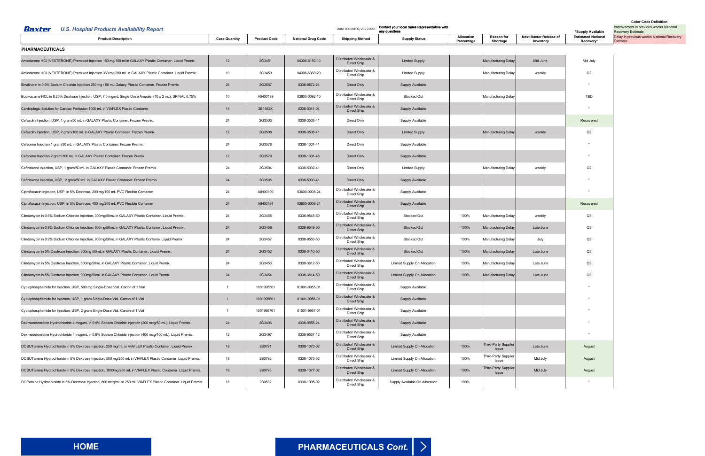<span id="page-4-0"></span>

| Baxter<br><b>U.S. Hospital Products Availability Report</b>                                                     |                      |                     | *Supply Available         | <b>Color Code Definition</b><br>Improvement in previous weeks National<br><b>Recovery Estimate</b> |                                |                          |                                      |                                     |                                        |                                                       |
|-----------------------------------------------------------------------------------------------------------------|----------------------|---------------------|---------------------------|----------------------------------------------------------------------------------------------------|--------------------------------|--------------------------|--------------------------------------|-------------------------------------|----------------------------------------|-------------------------------------------------------|
| <b>Product Description</b>                                                                                      | <b>Case Quantity</b> | <b>Product Code</b> | <b>National Drug Code</b> | <b>Shipping Method</b>                                                                             | <b>Supply Status</b>           | Allocation<br>Percentage | <b>Reason for</b><br>Shortage        | Next Baxter Release of<br>Inventory | <b>Estimated National</b><br>Recovery* | Delay in previous weeks National Recovery<br>Estimate |
| <b>PHARMACEUTICALS</b>                                                                                          |                      |                     |                           |                                                                                                    |                                |                          |                                      |                                     |                                        |                                                       |
| Amiodarone HCI (NEXTERONE) Premixed Injection 150 mg/100 ml in GALAXY Plastic Container. Liquid Premix.         | 12                   | 2G3451              | 04306-6150-10             | Distributor/ Wholesaler &<br><b>Direct Ship</b>                                                    | <b>Limited Supply</b>          |                          | <b>Manufacturing Delay</b>           | Mid June                            | Mid July                               |                                                       |
| Amiodarone HCI (NEXTERONE) Premixed Injection 360 mg/200 mL in GALAXY Plastic Container. Liquid Premix.         | 10                   | 2G3450              | 04306-6360-20             | Distributor/ Wholesaler &<br>Direct Ship                                                           | <b>Limited Supply</b>          |                          | Manufacturing Delay                  | weekly                              | Q2                                     |                                                       |
| Bivalirudin in 0.9% Sodium Chloride Injection 250 mg / 50 mL Galaxy Plastic Container. Frozen Premix            | 24                   | 2G3567              | 0338-9572-24              | Direct Only                                                                                        | <b>Supply Available</b>        |                          |                                      |                                     |                                        |                                                       |
| Bupivacaine HCL in 8.25% Dextrose Injection, USP, 7.5 mg/mL Single Dose Ampule (10 x 2 mL). SPINAL 0.75%        | 10                   | AIN00189            | 03600-0092-10             | Distributor/ Wholesaler &<br>Direct Ship                                                           | Stocked Out                    |                          | <b>Manufacturing Delay</b>           |                                     | TBD                                    |                                                       |
| Cardioplegic Solution for Cardiac Perfusion 1000 mL in VIAFLEX Plastic Container                                | 14                   | 2B1462X             | 0338-0341-04              | Distributor/ Wholesaler &<br>Direct Ship                                                           | <b>Supply Available</b>        |                          |                                      |                                     |                                        |                                                       |
| Cefazolin Injection, USP, 1 gram/50 mL in GALAXY Plastic Container. Frozen Premix.                              | 24                   | 2G3503              | 0338-3503-41              | Direct Only                                                                                        | Supply Available               |                          |                                      |                                     | Recovered                              |                                                       |
| Cefazolin Injection, USP, 2 gram/100 mL in GALAXY Plastic Container. Frozen Premix.                             | 12                   | 2G3508              | 0338-3508-41              | <b>Direct Only</b>                                                                                 | <b>Limited Supply</b>          |                          | <b>Manufacturing Delay</b>           | weekly                              | Q2                                     |                                                       |
| Cefepime Injection 1 gram/50 mL in GALAXY Plastic Container. Frozen Premix.                                     | 24                   | 2G3578              | 0338-1301-41              | Direct Only                                                                                        | Supply Available               |                          |                                      |                                     |                                        |                                                       |
| Cefepime Injection 2 gram/100 mL in GALAXY Plastic Container. Frozen Premix.                                    | 12                   | 2G3579              | 0338-1301-48              | <b>Direct Only</b>                                                                                 | <b>Supply Available</b>        |                          |                                      |                                     |                                        |                                                       |
| Ceftriaxone Injection, USP, 1 gram/50 mL in GALAXY Plastic Container. Frozen Premix                             | 24                   | 2G3504              | 0338-5002-41              | Direct Only                                                                                        | <b>Limited Supply</b>          |                          | <b>Manufacturing Delay</b>           | weekly                              | Q2                                     |                                                       |
| Ceftriaxone Injection, USP, 2 gram/50 mL in GALAXY Plastic Container. Frozen Premix.                            | 24                   | 2G3505              | 0338-5003-41              | <b>Direct Only</b>                                                                                 | <b>Supply Available</b>        |                          |                                      |                                     |                                        |                                                       |
| Ciprofloxacin Injection, USP, in 5% Dextrose, 200 mg/100 mL PVC Flexible Container                              | 24                   | AIN00190            | 03600-0008-24             | Distributor/ Wholesaler &<br>Direct Ship                                                           | Supply Available               |                          |                                      |                                     |                                        |                                                       |
| Ciprofloxacin Injection, USP, in 5% Dextrose, 400 mg/200 mL PVC Flexible Container                              | 24                   | AIN00191            | 03600-0009-24             | Distributor/ Wholesaler &<br>Direct Ship                                                           | Supply Available               |                          |                                      |                                     | Recovered                              |                                                       |
| Clindamycin in 0.9% Sodium Chloride Injection, 300mg/50mL in GALAXY Plastic Container. Liquid Premix.           | 24                   | 2G3455              | 0338-9545-50              | Distributor/ Wholesaler &<br>Direct Ship                                                           | Stocked Out                    | 100%                     | <b>Manufacturing Delay</b>           | weekly                              | Q3                                     |                                                       |
| Clindamycin in 0.9% Sodium Chloride Injection, 600mg/50mL in GALAXY Plastic Container. Liquid Premix.           | 24                   | 2G3456              | 0338-9549-50              | Distributor/ Wholesaler &<br>Direct Ship                                                           | Stocked Out                    | 100%                     | Manufacturing Delay                  | Late June                           | Q3                                     |                                                       |
| Clindamycin in 0.9% Sodium Chloride Injection, 900mg/50mL in GALAXY Plastic Containe. Liquid Premix.            | 24                   | 2G3457              | 0338-9553-50              | Distributor/ Wholesaler &<br><b>Direct Ship</b>                                                    | Stocked Out                    | 100%                     | Manufacturing Delay                  | July                                | Q3                                     |                                                       |
| Clindamycin in 5% Dextrose Injection, 300mg /50mL in GALAXY Plastic Container. Liquid Premix.                   | 24                   | 2G3452              | 0338-3410-50              | Distributor/ Wholesaler &<br>Direct Ship                                                           | Stocked Out                    | 100%                     | Manufacturing Delay                  | Late June                           | Q3                                     |                                                       |
| Clindamycin in 5% Dextrose Injection, 600mg/50mL in GALAXY Plastic Container. Liquid Premix                     | 24                   | 2G3453              | 0338-3612-50              | Distributor/ Wholesaler &<br>Direct Ship                                                           | Limited Supply On Allocation   | 100%                     | Manufacturing Delay                  | Late June                           | Q3                                     |                                                       |
| Clindamycin in 5% Dextrose Injection, 900mg/50mL in GALAXY Plastic Container. Liquid Premix.                    | 24                   | 2G3454              | 0338-3814-50              | Distributor/ Wholesaler &<br><b>Direct Ship</b>                                                    | Limited Supply On Allocation   | 100%                     | <b>Manufacturing Delay</b>           | Late June                           | Q3                                     |                                                       |
| Cyclophosphamide for Injection, USP, 500 mg Single-Dose Vial. Carton of 1 Vial                                  |                      | 1001995501          | 01001-9955-01             | Distributor/ Wholesaler &<br>Direct Ship                                                           | Supply Available               |                          |                                      |                                     |                                        |                                                       |
| Cyclophosphamide for Injection, USP, 1 gram Single-Dose Vial. Carton of 1 Vial                                  | $\mathbf{1}$         | 1001995601          | 01001-9956-01             | Distributor/ Wholesaler &<br>Direct Ship                                                           | Supply Available               |                          |                                      |                                     |                                        |                                                       |
| Cyclophosphamide for Injection, USP, 2 gram Single-Dose Vial. Carton of 1 Vial                                  |                      | 1001995701          | 01001-9957-01             | Distributor/ Wholesaler &<br>Direct Ship                                                           | Supply Available               |                          |                                      |                                     |                                        |                                                       |
| Dexmedetomidine Hydrochloride 4 mcg/mL in 0.9% Sodium Chloride injection (200 mcg/50 mL). Liquid Premix.        | 24                   | 2G3496              | 0338-9555-24              | Distributor/ Wholesaler &<br>Direct Ship                                                           | Supply Available               |                          |                                      |                                     |                                        |                                                       |
| Dexmedetomidine Hydrochloride 4 mcg/mL in 0.9% Sodium Chloride injection (400 mcg/100 mL). Liquid Premix.       | 12                   | 2G3497              | 0338-9557-12              | Distributor/ Wholesaler &<br>Direct Ship                                                           | Supply Available               |                          |                                      |                                     | $\star$                                |                                                       |
| DOBUTamine Hydrochloride in 5% Dextrose Injection, 250 mg/mL in VIAFLEX Plastic Container. Liquid Premix.       | 18                   | 2B0791              | 0338-1073-02              | Distributor/ Wholesaler &<br>Direct Ship                                                           | Limited Supply On Allocation   | 100%                     | Third-Party Supplier<br><b>Issue</b> | Late June                           | August                                 |                                                       |
| DOBUTamine Hydrochloride in 5% Dextrose Injection, 500 mg/250 mL in VIAFLEX Plastic Container. Liquid Premix.   | 18                   | 2B0792              | 0338-1075-02              | Distributor/ Wholesaler &<br>Direct Ship                                                           | Limited Supply On Allocation   | 100%                     | Third-Party Supplier<br>Issue        | Mid July                            | August                                 |                                                       |
| DOBUTamine Hydrochloride in 5% Dextrose Injection, 1000mg/250 mL in VIAFLEX Plastic Container. Liquid Premix.   | 18                   | 2B0793              | 0338-1077-02              | Distributor/ Wholesaler &<br>Direct Ship                                                           | Limited Supply On Allocation   | 100%                     | Third-Party Supplier<br><b>Issue</b> | Mid July                            | August                                 |                                                       |
| DOPamine Hydrochloride in 5% Dextrose Injection, 800 mcg/mL in 250 mL VIAFLEX Plastic Container. Liquid Premix. | 18                   | 2B0832              | 0338-1005-02              | Distributor/ Wholesaler &<br>Direct Ship                                                           | Supply Available On Allocation | 100%                     |                                      |                                     |                                        |                                                       |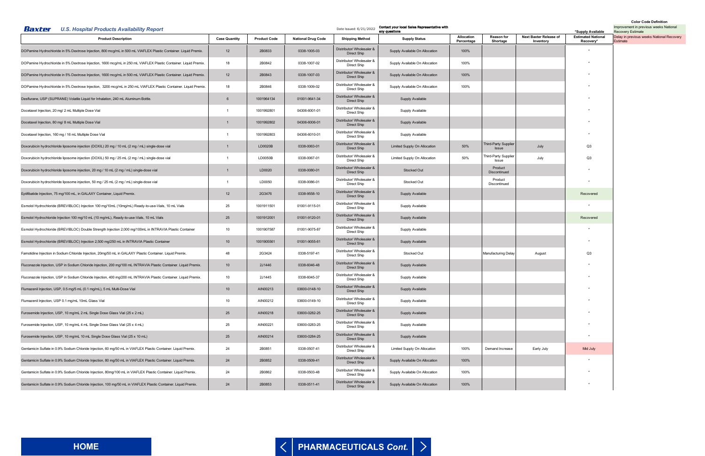# **[HOME](#page-0-0)**

<span id="page-5-0"></span>

| Baxter<br><b>U.S. Hospital Products Availability Report</b>                                                       |                      |                     |                           | Date Issued: 6/21/2022                   | Contact your local Sales Representative with<br>any questions |                                 |                                      |                                     | *Supply Available                      | <b>Color Code Definition</b><br>Improvement in previous weeks National<br><b>Recovery Estimate</b> |
|-------------------------------------------------------------------------------------------------------------------|----------------------|---------------------|---------------------------|------------------------------------------|---------------------------------------------------------------|---------------------------------|--------------------------------------|-------------------------------------|----------------------------------------|----------------------------------------------------------------------------------------------------|
| <b>Product Description</b>                                                                                        | <b>Case Quantity</b> | <b>Product Code</b> | <b>National Drug Code</b> | <b>Shipping Method</b>                   | <b>Supply Status</b>                                          | <b>Allocation</b><br>Percentage | <b>Reason for</b><br>Shortage        | Next Baxter Release of<br>Inventory | <b>Estimated National</b><br>Recovery* | Delay in previous weeks National Recovery<br>Estimate                                              |
| DOPamine Hydrochloride in 5% Dextrose Injection, 800 mcg/mL in 500 mL VIAFLEX Plastic Container. Liquid Premix.   | 12                   | 2B0833              | 0338-1005-03              | Distributor/ Wholesaler &<br>Direct Ship | Supply Available On Allocation                                | 100%                            |                                      |                                     |                                        |                                                                                                    |
| DOPamine Hydrochloride in 5% Dextrose Injection, 1600 mcg/mL in 250 mL VIAFLEX Plastic Container. Liquid Premix.  | 18                   | 2B0842              | 0338-1007-02              | Distributor/ Wholesaler 8<br>Direct Ship | Supply Available On Allocation                                | 100%                            |                                      |                                     |                                        |                                                                                                    |
| DOPamine Hydrochloride in 5% Dextrose Injection, 1600 mcg/mL in 500 mL VIAFLEX Plastic Container. Liquid Premix.  | 12                   | 2B0843              | 0338-1007-03              | Distributor/ Wholesaler &<br>Direct Ship | Supply Available On Allocation                                | 100%                            |                                      |                                     |                                        |                                                                                                    |
| DOPamine Hydrochloride in 5% Dextrose Injection, 3200 mcg/mL in 250 mL VIAFLEX Plastic Container. Liquid Premix.  | 18                   | 2B0846              | 0338-1009-02              | Distributor/ Wholesaler &<br>Direct Ship | Supply Available On Allocation                                | 100%                            |                                      |                                     |                                        |                                                                                                    |
| Desflurane, USP (SUPRANE) Volatile Liquid for Inhalation, 240 mL Aluminum Bottle.                                 | 6                    | 1001964134          | 01001-9641-34             | Distributor/ Wholesaler &<br>Direct Ship | Supply Available                                              |                                 |                                      |                                     |                                        |                                                                                                    |
| Docetaxel Injection, 20 mg/ 2 mL Multiple Dose Vial                                                               |                      | 1001992801          | 04306-6001-01             | Distributor/ Wholesaler &<br>Direct Ship | Supply Available                                              |                                 |                                      |                                     |                                        |                                                                                                    |
| Docetaxel Injection, 80 mg/ 8 mL Multiple Dose Vial                                                               |                      | 1001992802          | 04306-6006-01             | Distributor/ Wholesaler &<br>Direct Ship | Supply Available                                              |                                 |                                      |                                     |                                        |                                                                                                    |
| Docetaxel Injection, 160 mg / 16 mL Multiple Dose Vial                                                            |                      | 1001992803          | 04306-6010-01             | Distributor/ Wholesaler &<br>Direct Ship | Supply Available                                              |                                 |                                      |                                     |                                        |                                                                                                    |
| Doxorubicin hydrochloride liposome injection (DOXIL) 20 mg / 10 mL (2 mg / mL) single-dose vial                   | $\mathbf{1}$         | LD0020B             | 0338-0063-01              | Distributor/ Wholesaler &<br>Direct Ship | Limited Supply On Allocation                                  | 50%                             | Third-Party Supplier<br>Issue        | July                                | Q3                                     |                                                                                                    |
| Doxorubicin hydrochloride liposome injection (DOXIL) 50 mg / 25 mL (2 mg / mL) single-dose vial                   |                      | LD0050B             | 0338-0067-01              | Distributor/ Wholesaler &<br>Direct Ship | Limited Supply On Allocation                                  | 50%                             | <b>Third-Party Supplier</b><br>Issue | July                                | Q3                                     |                                                                                                    |
| Doxorubicin hydrochloride liposome injection, 20 mg / 10 mL (2 mg / mL) single-dose vial                          | $\mathbf{1}$         | LD0020              | 0338-0080-01              | Distributor/ Wholesaler &<br>Direct Ship | Stocked Out                                                   |                                 | Product<br>Discontinued              |                                     |                                        |                                                                                                    |
| Doxorubicin hydrochloride liposome injection, 50 mg / 25 mL (2 mg / mL) single-dose vial                          |                      | LD0050              | 0338-0086-01              | Distributor/ Wholesaler &<br>Direct Ship | Stocked Out                                                   |                                 | Product<br>Discontinued              |                                     |                                        |                                                                                                    |
| Eptifibatide Injection, 75 mg/100 mL, in GALAXY Container, Liquid Premix.                                         | 12                   | 2G3476              | 0338-9558-10              | Distributor/ Wholesaler &<br>Direct Ship | Supply Available                                              |                                 |                                      |                                     | Recovered                              |                                                                                                    |
| Esmolol Hydrochloride (BREVIBLOC) Injection 100 mg/10mL (10mg/mL) Ready-to-use-Vials, 10 mL Vials                 | 25                   | 1001911501          | 01001-9115-01             | Distributor/ Wholesaler &<br>Direct Ship | Supply Available                                              |                                 |                                      |                                     |                                        |                                                                                                    |
| Esmolol Hydrochloride Injection 100 mg/10 mL (10 mg/mL), Ready-to-use-Vials, 10 mL Vials                          | 25                   | 1001912001          | 01001-9120-01             | Distributor/ Wholesaler &<br>Direct Ship | Supply Available                                              |                                 |                                      |                                     | Recovered                              |                                                                                                    |
| Esmolol Hydrochloride (BREVIBLOC) Double Strength Injection 2,000 mg/100mL in INTRAVIA Plastic Container          | 10                   | 1001907587          | 01001-9075-87             | Distributor/ Wholesaler &<br>Direct Ship | Supply Available                                              |                                 |                                      |                                     |                                        |                                                                                                    |
| Esmolol Hydrochloride (BREVIBLOC) Injection 2,500 mg/250 mL in INTRAVIA Plastic Container                         | 10                   | 1001905561          | 01001-9055-61             | Distributor/ Wholesaler &<br>Direct Ship | Supply Available                                              |                                 |                                      |                                     |                                        |                                                                                                    |
| Famotidine Injection in Sodium Chloride Injection, 20mg/50 mL in GALAXY Plastic Container. Liquid Premix.         | 48                   | 2G3424              | 0338-5197-41              | Distributor/ Wholesaler &<br>Direct Ship | Stocked Out                                                   |                                 | <b>Manufacturing Delay</b>           | August                              | Q3                                     |                                                                                                    |
| Fluconazole Injection, USP in Sodium Chloride Injection, 200 mg/100 mL INTRAVIA Plastic Container. Liquid Premix. | 10                   | 2J1446              | 0338-6046-48              | Distributor/ Wholesaler &<br>Direct Ship | Supply Available                                              |                                 |                                      |                                     |                                        |                                                                                                    |
| Fluconazole Injection, USP in Sodium Chloride Injection, 400 mg/200 mL INTRAVIA Plastic Container. Liquid Premix. | 10                   | 2J1445              | 0338-6045-37              | Distributor/ Wholesaler &<br>Direct Ship | Supply Available                                              |                                 |                                      |                                     |                                        |                                                                                                    |
| Flumazenil Injection, USP, 0.5 mg/5 mL (0.1 mg/mL), 5 mL Multi-Dose Vial                                          | 10                   | AIN00213            | 03600-0148-10             | Distributor/ Wholesaler &<br>Direct Ship | Supply Available                                              |                                 |                                      |                                     |                                        |                                                                                                    |
| Flumazenil Injection, USP 0.1 mg/mL 10mL Glass Vial                                                               | 10                   | AIN00212            | 03600-0149-10             | Distributor/ Wholesaler &<br>Direct Ship | Supply Available                                              |                                 |                                      |                                     |                                        |                                                                                                    |
| Furosemide Injection, USP, 10 mg/mL 2 mL Single Dose Glass Vial (25 x 2 mL)                                       | 25                   | AIN00218            | 03600-0282-25             | Distributor/ Wholesaler &<br>Direct Ship | Supply Available                                              |                                 |                                      |                                     |                                        |                                                                                                    |
| Furosemide Injection, USP, 10 mg/mL 4 mL Single Dose Glass Vial (25 x 4 mL)                                       | 25                   | AIN00221            | 03600-0283-25             | Distributor/ Wholesaler &<br>Direct Ship | Supply Available                                              |                                 |                                      |                                     | $\star$                                |                                                                                                    |
| Furosemide Injection, USP, 10 mg/mL 10 mL Single Dose Glass Vial (25 x 10 mL)                                     | 25                   | AIN00214            | 03600-0284-25             | Distributor/ Wholesaler &<br>Direct Ship | Supply Available                                              |                                 |                                      |                                     |                                        |                                                                                                    |
| Gentamicin Sulfate in 0.9% Sodium Chloride Injection, 60 mg/50 mL in VIAFLEX Plastic Container. Liquid Premix.    | 24                   | 2B0851              | 0338-0507-41              | Distributor/ Wholesaler &<br>Direct Ship | Limited Supply On Allocation                                  | 100%                            | Demand Increase                      | Early July                          | Mid July                               |                                                                                                    |
| Gentamicin Sulfate in 0.9% Sodium Chloride Injection, 80 mg/50 mL in VIAFLEX Plastic Container. Liquid Premix.    | 24                   | 2B0852              | 0338-0509-41              | Distributor/ Wholesaler &<br>Direct Ship | Supply Available On Allocation                                | 100%                            |                                      |                                     |                                        |                                                                                                    |
| Gentamicin Sulfate in 0.9% Sodium Chloride Injection, 80mg/100 mL in VIAFLEX Plastic Container. Liquid Premix.    | 24                   | 2B0862              | 0338-0503-48              | Distributor/ Wholesaler &<br>Direct Ship | Supply Available On Allocation                                | 100%                            |                                      |                                     |                                        |                                                                                                    |
| Gentamicin Sulfate in 0.9% Sodium Chloride Injection, 100 mg/50 mL in VIAFLEX Plastic Container. Liquid Premix.   | 24                   | 2B0853              | 0338-0511-41              | Distributor/ Wholesaler &<br>Direct Ship | Supply Available On Allocation                                | 100%                            |                                      |                                     |                                        |                                                                                                    |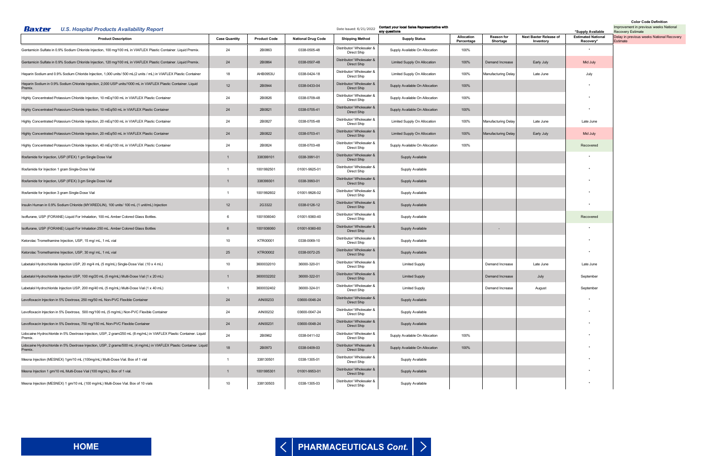<span id="page-6-0"></span>

| <b>U.S. Hospital Products Availability Report</b><br>Baxter                                                                     |                      |                     |                           | Date Issued: 6/21/2022                   | Contact your local Sales Representative with<br>any questions |                          |                               |                                     | *Supply Available                      | Improvement in previous weeks National<br><b>Recovery Estimate</b> |
|---------------------------------------------------------------------------------------------------------------------------------|----------------------|---------------------|---------------------------|------------------------------------------|---------------------------------------------------------------|--------------------------|-------------------------------|-------------------------------------|----------------------------------------|--------------------------------------------------------------------|
| <b>Product Description</b>                                                                                                      | <b>Case Quantity</b> | <b>Product Code</b> | <b>National Drug Code</b> | <b>Shipping Method</b>                   | <b>Supply Status</b>                                          | Allocation<br>Percentage | <b>Reason for</b><br>Shortage | Next Baxter Release of<br>Inventory | <b>Estimated National</b><br>Recovery* | Delay in previous weeks National Recovery<br>Estimate              |
| Gentamicin Sulfate in 0.9% Sodium Chloride Injection, 100 mg/100 mL in VIAFLEX Plastic Container. Liquid Premix.                | 24                   | 2B0863              | 0338-0505-48              | Distributor/ Wholesaler &<br>Direct Ship | Supply Available On Allocation                                | 100%                     |                               |                                     |                                        |                                                                    |
| Gentamicin Sulfate in 0.9% Sodium Chloride Injection, 120 mg/100 mL in VIAFLEX Plastic Container. Liquid Premix.                | 24                   | 2B0864              | 0338-0507-48              | Distributor/ Wholesaler &<br>Direct Ship | Limited Supply On Allocation                                  | 100%                     | Demand Increase               | Early July                          | Mid July                               |                                                                    |
| Heparin Sodium and 0.9% Sodium Chloride Injection, 1,000 units/ 500 mL(2 units / mL) in VIAFLEX Plastic Container               | 18                   | AHB0953U            | 0338-0424-18              | Distributor/ Wholesaler &<br>Direct Ship | Limited Supply On Allocation                                  | 100%                     | Manufacturing Delay           | Late June                           | July                                   |                                                                    |
| Heparin Sodium in 0.9% Sodium Chloride Injection, 2,000 USP units/1000 mL in VIAFLEX Plastic Container. Liquid<br>Premix.       | 12                   | 2B0944              | 0338-0433-04              | Distributor/ Wholesaler &<br>Direct Ship | Supply Available On Allocation                                | 100%                     |                               |                                     |                                        |                                                                    |
| Highly Concentrated Potassium Chloride Injection, 10 mEq/100 mL in VIAFLEX Plastic Container                                    | 24                   | 2B0826              | 0338-0709-48              | Distributor/ Wholesaler &<br>Direct Ship | Supply Available On Allocation                                | 100%                     |                               |                                     |                                        |                                                                    |
| Highly Concentrated Potassium Chloride Injection, 10 mEq/50 mL in VIAFLEX Plastic Container                                     | 24                   | 2B0821              | 0338-0705-41              | Distributor/ Wholesaler &<br>Direct Ship | Supply Available On Allocation                                | 100%                     |                               |                                     |                                        |                                                                    |
| Highly Concentrated Potassium Chloride Injection, 20 mEq/100 mL in VIAFLEX Plastic Container                                    | 24                   | 2B0827              | 0338-0705-48              | Distributor/ Wholesaler &<br>Direct Ship | Limited Supply On Allocation                                  | 100%                     | Manufacturing Delay           | Late June                           | Late June                              |                                                                    |
| Highly Concentrated Potassium Chloride Injection, 20 mEq/50 mL in VIAFLEX Plastic Container                                     | 24                   | 2B0822              | 0338-0703-41              | Distributor/ Wholesaler &<br>Direct Ship | Limited Supply On Allocation                                  | 100%                     | <b>Manufacturing Delay</b>    | Early July                          | Mid July                               |                                                                    |
| Highly Concentrated Potassium Chloride Injection, 40 mEq/100 mL in VIAFLEX Plastic Container                                    | 24                   | 2B0824              | 0338-0703-48              | Distributor/ Wholesaler &<br>Direct Ship | Supply Available On Allocation                                | 100%                     |                               |                                     | Recovered                              |                                                                    |
| Ifosfamide for Injection, USP (IFEX) 1 gm Single Dose Vial                                                                      | $\overline{1}$       | 338399101           | 0338-3991-01              | Distributor/ Wholesaler &<br>Direct Ship | <b>Supply Available</b>                                       |                          |                               |                                     |                                        |                                                                    |
| Ifosfamide for Injection 1 gram Single-Dose Vial                                                                                | $\overline{1}$       | 1001992501          | 01001-9925-01             | Distributor/ Wholesaler &<br>Direct Ship | Supply Available                                              |                          |                               |                                     |                                        |                                                                    |
| Ifosfamide for Injection, USP (IFEX) 3 gm Single Dose Vial                                                                      | $\overline{1}$       | 338399301           | 0338-3993-01              | Distributor/ Wholesaler &<br>Direct Ship | Supply Available                                              |                          |                               |                                     |                                        |                                                                    |
| Ifosfamide for Injection 3 gram Single-Dose Vial                                                                                | $\overline{1}$       | 1001992602          | 01001-9926-02             | Distributor/ Wholesaler &<br>Direct Ship | Supply Available                                              |                          |                               |                                     |                                        |                                                                    |
| Insulin Human in 0.9% Sodium Chloride (MYXREDLIN), 100 units/ 100 mL (1 unit/mL) Injection                                      | 12                   | 2G3322              | 0338-0126-12              | Distributor/ Wholesaler &<br>Direct Ship | Supply Available                                              |                          |                               |                                     |                                        |                                                                    |
| Isoflurane, USP (FORANE) Liquid For Inhalation, 100 mL Amber Colored Glass Bottles.                                             | 6                    | 1001936040          | 01001-9360-40             | Distributor/ Wholesaler &<br>Direct Ship | Supply Available                                              |                          |                               |                                     | Recovered                              |                                                                    |
| Isoflurane, USP (FORANE) Liquid For Inhalation 250 mL. Amber Colored Glass Bottles                                              | 6                    | 1001936060          | 01001-9360-60             | Distributor/ Wholesaler &<br>Direct Ship | <b>Supply Available</b>                                       |                          |                               |                                     |                                        |                                                                    |
| Ketorolac Tromethamine Injection, USP, 15 mg/ mL, 1 mL vial                                                                     | 10                   | KTR00001            | 0338-0069-10              | Distributor/ Wholesaler &<br>Direct Ship | Supply Available                                              |                          |                               |                                     |                                        |                                                                    |
| Ketorolac Tromethamine Injection, USP, 30 mg/ mL, 1 mL vial                                                                     | 25                   | <b>KTR00002</b>     | 0338-0072-25              | Distributor/ Wholesaler &<br>Direct Ship | <b>Supply Available</b>                                       |                          |                               |                                     |                                        |                                                                    |
| Labetalol Hydrochloride Injection USP, 20 mg/4 mL (5 mg/mL) Single-Dose Vial. (10 x 4 mL)                                       | 10                   | 3600032010          | 36000-320-01              | Distributor/ Wholesaler &<br>Direct Ship | <b>Limited Supply</b>                                         |                          | Demand Increase               | Late June                           | Late June                              |                                                                    |
| Labetalol Hydrochloride Injection USP, 100 mg/20 mL (5 mg/mL) Multi-Dose Vial (1 x 20 mL)                                       |                      | 3600032202          | 36000-322-01              | Distributor/ Wholesaler &<br>Direct Ship | <b>Limited Supply</b>                                         |                          | Demand Increase               | July                                | September                              |                                                                    |
| Labetalol Hydrochloride Injection USP, 200 mg/40 mL (5 mg/mL) Multi-Dose Vial (1 x 40 mL)                                       | $\overline{1}$       | 3600032402          | 36000-324-01              | Distributor/ Wholesaler &<br>Direct Ship | <b>Limited Supply</b>                                         |                          | Demand Increase               | August                              | September                              |                                                                    |
| Levofloxacin Injection in 5% Dextrose, 250 mg/50 mL Non-PVC Flexible Container                                                  | 24                   | AIN00233            | 03600-0046-24             | Distributor/ Wholesaler &<br>Direct Ship | <b>Supply Available</b>                                       |                          |                               |                                     |                                        |                                                                    |
| Levofloxacin Injection in 5% Dextrose, 500 mg/100 mL (5 mg/mL) Non-PVC Flexible Container                                       | 24                   | AIN00232            | 03600-0047-24             | Distributor/ Wholesaler &<br>Direct Ship | Supply Available                                              |                          |                               |                                     |                                        |                                                                    |
| Levofloxacin Injection in 5% Dextrose, 750 mg/150 mL Non-PVC Flexible Container                                                 | 24                   | AIN00231            | 03600-0048-24             | Distributor/ Wholesaler &<br>Direct Ship | <b>Supply Available</b>                                       |                          |                               |                                     |                                        |                                                                    |
| Lidocaine Hydrochloride in 5% Dextrose Injection, USP, 2 gram/250 mL (8 mg/mL) in VIAFLEX Plastic Container. Liquid<br>Premix.  | 24                   | 2B0962              | 0338-0411-02              | Distributor/ Wholesaler &<br>Direct Ship | Supply Available On Allocation                                | 100%                     |                               |                                     |                                        |                                                                    |
| Lidocaine Hydrochloride in 5% Dextrose Injection, USP, 2 grams/500 mL (4 mg/mL) in VIAFLEX Plastic Container. Liquid<br>Premix. | 18                   | 2B0973              | 0338-0409-03              | Distributor/ Wholesaler &<br>Direct Ship | Supply Available On Allocation                                | 100%                     |                               |                                     |                                        |                                                                    |
| Mesna Injection (MESNEX) 1gm/10 mL (100mg/mL) Multi-Dose Vial. Box of 1 vial                                                    | $\mathbf{1}$         | 338130501           | 0338-1305-01              | Distributor/ Wholesaler &<br>Direct Ship | Supply Available                                              |                          |                               |                                     |                                        |                                                                    |
| Mesna Injection 1 gm/10 mL Multi-Dose Vial (100 mg/mL). Box of 1 vial.                                                          | $\mathbf{1}$         | 1001995301          | 01001-9953-01             | Distributor/ Wholesaler &<br>Direct Ship | <b>Supply Available</b>                                       |                          |                               |                                     |                                        |                                                                    |
| Mesna Injection (MESNEX) 1 gm/10 mL (100 mg/mL) Multi-Dose Vial. Box of 10 vials                                                | 10 <sup>°</sup>      | 338130503           | 0338-1305-03              | Distributor/ Wholesaler &<br>Direct Ship | Supply Available                                              |                          |                               |                                     |                                        |                                                                    |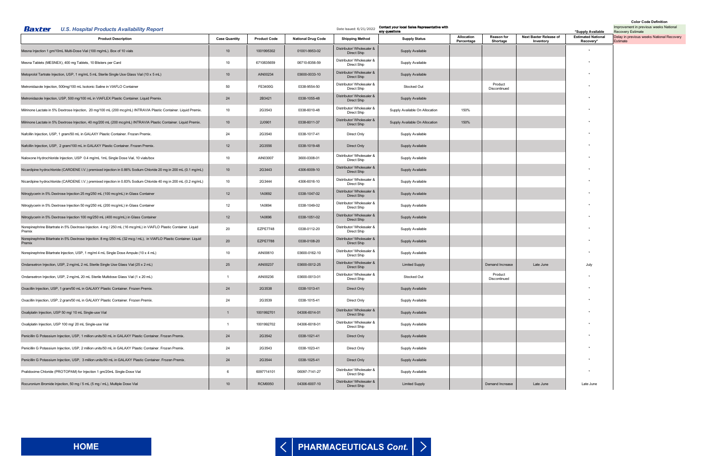<span id="page-7-0"></span>

| Baxter<br><b>U.S. Hospital Products Availability Report</b>                                                                   |                      |                     |                           | Date Issued: 6/21/2022                   | Contact your local Sales Representative with<br>any questions |                          |                               |                                     | *Supply Available                      | Improvement in previous weeks National<br><b>Recovery Estimate</b> |
|-------------------------------------------------------------------------------------------------------------------------------|----------------------|---------------------|---------------------------|------------------------------------------|---------------------------------------------------------------|--------------------------|-------------------------------|-------------------------------------|----------------------------------------|--------------------------------------------------------------------|
| <b>Product Description</b>                                                                                                    | <b>Case Quantity</b> | <b>Product Code</b> | <b>National Drug Code</b> | <b>Shipping Method</b>                   | <b>Supply Status</b>                                          | Allocation<br>Percentage | <b>Reason for</b><br>Shortage | Next Baxter Release of<br>Inventory | <b>Estimated National</b><br>Recovery* | Delay in previous weeks National Recovery<br>Estimate              |
| Mesna Injection 1 gm/10mL Multi-Dose Vial (100 mg/mL). Box of 10 vials                                                        | 10 <sup>°</sup>      | 1001995302          | 01001-9953-02             | Distributor/ Wholesaler &<br>Direct Ship | Supply Available                                              |                          |                               |                                     |                                        |                                                                    |
| Mesna Tablets (MESNEX), 400 mg Tablets, 10 Blisters per Card                                                                  | 10                   | 6710835659          | 06710-8356-59             | Distributor/ Wholesaler &<br>Direct Ship | Supply Available                                              |                          |                               |                                     |                                        |                                                                    |
| Metoprolol Tartrate Injection, USP, 1 mg/mL 5 mL Sterile Single Use Glass Vial (10 x 5 mL)                                    | 10                   | AIN00234            | 03600-0033-10             | Distributor/ Wholesaler &<br>Direct Ship | Supply Available                                              |                          |                               |                                     |                                        |                                                                    |
| Metronidazole Injection, 500mg/100 mL Isotonic Saline in VIAFLO Container                                                     | 50                   | FE3400G             | 0338-9554-50              | Distributor/ Wholesaler &<br>Direct Ship | Stocked Out                                                   |                          | Product<br>Discontinued       |                                     |                                        |                                                                    |
| Metronidazole Injection, USP, 500 mg/100 mL in VIAFLEX Plastic Container. Liquid Premix.                                      | 24                   | 2B3421              | 0338-1055-48              | Distributor/ Wholesaler &<br>Direct Ship | Supply Available                                              |                          |                               |                                     |                                        |                                                                    |
| Milrinone Lactate in 5% Dextrose Injection, 20 mg/100 mL (200 mcg/mL) INTRAVIA Plastic Container. Liquid Premix.              | 10                   | 2G3543              | 0338-6010-48              | Distributor/ Wholesaler &<br>Direct Ship | Supply Available On Allocation                                | 150%                     |                               |                                     |                                        |                                                                    |
| Milrinone Lactate in 5% Dextrose Injection, 40 mg/200 mL (200 mcg/mL) INTRAVIA Plastic Container. Liquid Premix.              | 10                   | 2J0901              | 0338-6011-37              | Distributor/ Wholesaler &<br>Direct Ship | Supply Available On Allocation                                | 150%                     |                               |                                     |                                        |                                                                    |
| Nafcillin Injection, USP, 1 gram/50 mL in GALAXY Plastic Container. Frozen Premix.                                            | 24                   | 2G3540              | 0338-1017-41              | Direct Only                              | Supply Available                                              |                          |                               |                                     |                                        |                                                                    |
| Nafcillin Injection, USP, 2 gram/100 mL in GALAXY Plastic Container. Frozen Premix.                                           | 12                   | 2G3556              | 0338-1019-48              | Direct Only                              | Supply Available                                              |                          |                               |                                     |                                        |                                                                    |
| Naloxone Hydrochloride Injection, USP 0.4 mg/mL 1mL Single Dose Vial, 10 vials/box                                            | 10                   | AIN03007            | 3600-0308-01              | Distributor/ Wholesaler &<br>Direct Ship | Supply Available                                              |                          |                               |                                     |                                        |                                                                    |
| Nicardipine hydrochloride (CARDENE I.V.) premixed injection in 0.86% Sodium Chloride 20 mg in 200 mL (0.1 mg/mL)              | 10                   | 2G3443              | 4306-6009-10              | Distributor/ Wholesaler &<br>Direct Ship | Supply Available                                              |                          |                               |                                     |                                        |                                                                    |
| Nicardipine hydrochloride (CARDENE I.V.) premixed injection in 0.83% Sodium Chloride 40 mg in 200 mL (0.2 mg/mL)              | 10                   | 2G3444              | 4306-6016-10              | Distributor/ Wholesaler &<br>Direct Ship | Supply Available                                              |                          |                               |                                     |                                        |                                                                    |
| Nitroglycerin in 5% Dextrose Injection 25 mg/250 mL (100 mcg/mL) in Glass Container                                           | 12                   | 1A0692              | 0338-1047-02              | Distributor/ Wholesaler &<br>Direct Ship | Supply Available                                              |                          |                               |                                     |                                        |                                                                    |
| Nitroglycerin in 5% Dextrose Injection 50 mg/250 mL (200 mcg/mL) in Glass Container                                           | 12                   | 1A0694              | 0338-1049-02              | Distributor/ Wholesaler &<br>Direct Ship | Supply Available                                              |                          |                               |                                     |                                        |                                                                    |
| Nitroglycerin in 5% Dextrose Injection 100 mg/250 mL (400 mcg/mL) in Glass Container                                          | 12                   | 1A0696              | 0338-1051-02              | Distributor/ Wholesaler &<br>Direct Ship | <b>Supply Available</b>                                       |                          |                               |                                     |                                        |                                                                    |
| Norepinephrine Bitartrate in 5% Dextrose Injection. 4 mg / 250 mL (16 mcg/mL) in VIAFLO Plastic Container. Liquid<br>Premix   | 20                   | <b>EZPE7748</b>     | 0338-0112-20              | Distributor/ Wholesaler &<br>Direct Ship | Supply Available                                              |                          |                               |                                     |                                        |                                                                    |
| Norepinephrine Bitartrate in 5% Dextrose Injection. 8 mg /250 mL (32 mcg / mL), in VIAFLO Plastic Container. Liquid<br>Premix | 20                   | <b>EZPE7788</b>     | 0338-0108-20              | Distributor/ Wholesaler &<br>Direct Ship | Supply Available                                              |                          |                               |                                     |                                        |                                                                    |
| Norepinephrine Bitartrate Injection, USP, 1 mg/ml 4 mL Single Dose Ampule (10 x 4 mL)                                         | 10                   | AIN00610            | 03600-0162-10             | Distributor/ Wholesaler &<br>Direct Ship | Supply Available                                              |                          |                               |                                     |                                        |                                                                    |
| Ondansetron Injection, USP, 2 mg/mL 2 mL Sterile Single Use Glass Vial (25 x 2 mL)                                            | 25                   | AIN00237            | 03600-0012-25             | Distributor/ Wholesaler &<br>Direct Ship | <b>Limited Supply</b>                                         |                          | Demand Increase               | Late June                           | July                                   |                                                                    |
| Ondansetron Injection, USP, 2 mg/mL 20 mL Sterile Multidose Glass Vial (1 x 20 mL)                                            |                      | AIN00236            | 03600-0013-01             | Distributor/ Wholesaler &<br>Direct Ship | Stocked Out                                                   |                          | Product<br>Discontinued       |                                     |                                        |                                                                    |
| Oxacillin Injection, USP, 1 gram/50 mL in GALAXY Plastic Container. Frozen Premix.                                            | 24                   | 2G3538              | 0338-1013-41              | Direct Only                              | Supply Available                                              |                          |                               |                                     |                                        |                                                                    |
| Oxacillin Injection, USP, 2 gram/50 mL in GALAXY Plastic Container. Frozen Premix.                                            | 24                   | 2G3539              | 0338-1015-41              | Direct Only                              | Supply Available                                              |                          |                               |                                     |                                        |                                                                    |
| Oxaliplatin Injection, USP 50 mg/ 10 mL Single-use Vial                                                                       | $\overline{1}$       | 1001992701          | 04306-6014-01             | Distributor/ Wholesaler &<br>Direct Ship | Supply Available                                              |                          |                               |                                     |                                        |                                                                    |
| Oxaliplatin Injection, USP 100 mg/ 20 mL Single-use Vial                                                                      | $\overline{1}$       | 1001992702          | 04306-6018-01             | Distributor/ Wholesaler &<br>Direct Ship | Supply Available                                              |                          |                               |                                     |                                        |                                                                    |
| Penicillin G Potassium Injection, USP, 1 million units/50 mL in GALAXY Plastic Container. Frozen Premix.                      | 24                   | 2G3542              | 0338-1021-41              | Direct Only                              | Supply Available                                              |                          |                               |                                     |                                        |                                                                    |
| Penicillin G Potassium Injection, USP, 2 million units/50 mL in GALAXY Plastic Container. Frozen Premix.                      | 24                   | 2G3543              | 0338-1023-41              | Direct Only                              | Supply Available                                              |                          |                               |                                     |                                        |                                                                    |
| Penicillin G Potassium Injection, USP, 3 million units/50 mL in GALAXY Plastic Container. Frozen Premix.                      | 24                   | 2G3544              | 0338-1025-41              | Direct Only                              | Supply Available                                              |                          |                               |                                     |                                        |                                                                    |
| Pralidoxime Chloride (PROTOPAM) for Injection 1 gm/20mL Single-Dose Vial                                                      | 6                    | 6097714101          | 06097-7141-27             | Distributor/ Wholesaler &<br>Direct Ship | Supply Available                                              |                          |                               |                                     | $\star$                                |                                                                    |
| Rocuronium Bromide Injection, 50 mg / 5 mL (5 mg / mL), Multiple Dose Vial                                                    | 10                   | <b>RCM0050</b>      | 04306-6007-10             | Distributor/ Wholesaler &<br>Direct Ship | <b>Limited Supply</b>                                         |                          | Demand Increase               | Late June                           | Late June                              |                                                                    |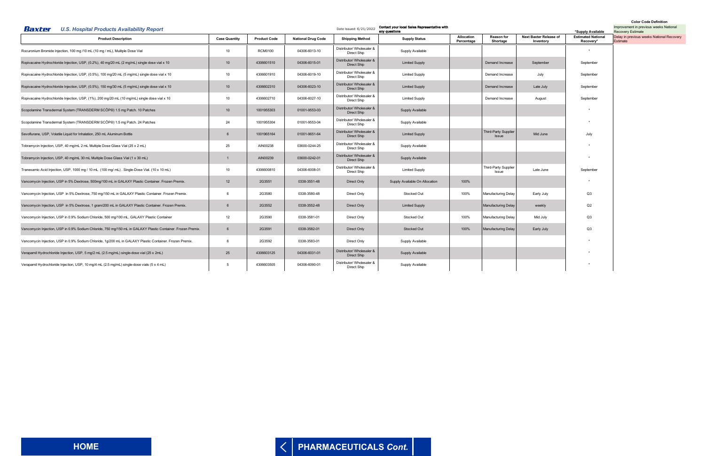<span id="page-8-0"></span>

| Baxter<br><b>U.S. Hospital Products Availability Report</b>                                                  |                      | Contact your local Sales Representative with<br>Date Issued: 6/21/2022<br>any questions |                           |                                          |                                |                          |                                      |                                     | <b>COIOL COUR DRIIIIIIOI</b><br>Improvement in previous weeks National<br><b>Recovery Estimate</b> |                                                       |
|--------------------------------------------------------------------------------------------------------------|----------------------|-----------------------------------------------------------------------------------------|---------------------------|------------------------------------------|--------------------------------|--------------------------|--------------------------------------|-------------------------------------|----------------------------------------------------------------------------------------------------|-------------------------------------------------------|
| <b>Product Description</b>                                                                                   | <b>Case Quantity</b> | <b>Product Code</b>                                                                     | <b>National Drug Code</b> | <b>Shipping Method</b>                   | <b>Supply Status</b>           | Allocation<br>Percentage | <b>Reason for</b><br>Shortage        | Next Baxter Release of<br>Inventory | *Supply Available<br><b>Estimated National</b><br>Recovery <sup>*</sup>                            | Delay in previous weeks National Recovery<br>Estimate |
| Rocuronium Bromide Injection, 100 mg /10 mL (10 mg / mL), Mulitple Dose Vial                                 | 10                   | <b>RCM0100</b>                                                                          | 04306-6013-10             | Distributor/ Wholesaler &<br>Direct Ship | Supply Available               |                          |                                      |                                     |                                                                                                    |                                                       |
| Ropivacaine Hydrochloride Injection, USP, (0.2%), 40 mg/20 mL (2 mg/mL) single dose vial x 10                | 10                   | 4306601510                                                                              | 04306-6015-01             | Distributor/ Wholesaler &<br>Direct Ship | <b>Limited Supply</b>          |                          | Demand Increase                      | September                           | September                                                                                          |                                                       |
| Ropivacaine Hydrochloride Injection, USP, (0.5%), 100 mg/20 mL (5 mg/mL) single dose vial x 10               | 10                   | 4306601910                                                                              | 04306-6019-10             | Distributor/ Wholesaler &<br>Direct Ship | <b>Limited Supply</b>          |                          | Demand Increase                      | July                                | September                                                                                          |                                                       |
| Ropivacaine Hydrochloride Injection, USP, (0.5%), 150 mg/30 mL (5 mg/mL) single dose vial x 10               | 10                   | 4306602310                                                                              | 04306-6023-10             | Distributor/ Wholesaler &<br>Direct Ship | <b>Limited Supply</b>          |                          | Demand Increase                      | Late July                           | September                                                                                          |                                                       |
| Ropivacaine Hydrochloride Injection, USP, (1%), 200 mg/20 mL (10 mg/mL) single dose vial x 10                | 10                   | 4306602710                                                                              | 04306-6027-10             | Distributor/ Wholesaler &<br>Direct Ship | <b>Limited Supply</b>          |                          | Demand Increase                      | August                              | September                                                                                          |                                                       |
| Scopolamine Transdermal System (TRANSDERM SCOP®) 1.5 mg Patch. 10 Patches                                    | 10                   | 1001955303                                                                              | 01001-9553-03             | Distributor/ Wholesaler &<br>Direct Ship | Supply Available               |                          |                                      |                                     |                                                                                                    |                                                       |
| Scopolamine Transdermal System (TRANSDERM SCOP®) 1.5 mg Patch. 24 Patches                                    | 24                   | 1001955304                                                                              | 01001-9553-04             | Distributor/ Wholesaler &<br>Direct Ship | Supply Available               |                          |                                      |                                     | $\star$                                                                                            |                                                       |
| Sevoflurane, USP, Volatile Liquid for Inhalation, 250 mL Aluminum Bottle                                     |                      | 1001965164                                                                              | 01001-9651-64             | Distributor/ Wholesaler &<br>Direct Ship | <b>Limited Supply</b>          |                          | <b>Third-Party Supplier</b><br>Issue | Mid June                            | July                                                                                               |                                                       |
| Tobramycin Injection, USP, 40 mg/mL 2 mL Multiple Dose Glass Vial (25 x 2 mL)                                | 25                   | AIN00238                                                                                | 03600-0244-25             | Distributor/ Wholesaler &<br>Direct Ship | Supply Available               |                          |                                      |                                     |                                                                                                    |                                                       |
| Tobramycin Injection, USP, 40 mg/mL 30 mL Multiple Dose Glass Vial (1 x 30 mL)                               |                      | AIN00239                                                                                | 03600-0242-01             | Distributor/ Wholesaler &<br>Direct Ship | Supply Available               |                          |                                      |                                     |                                                                                                    |                                                       |
| Tranexamic Acid Injection, USP, 1000 mg / 10 mL (100 mg/ mL). Single-Dose Vial. (10 x 10 mL)                 | 10                   | 4306600810                                                                              | 04306-6008-01             | Distributor/ Wholesaler &<br>Direct Ship | <b>Limited Supply</b>          |                          | Third-Party Supplier<br>Issue        | Late June                           | September                                                                                          |                                                       |
| Vancomycin Injection, USP in 5% Dextrose, 500mg/100 mL in GALAXY Plastic Container. Frozen Premix.           | 12                   | 2G3551                                                                                  | 0338-3551-48              | Direct Only                              | Supply Available On Allocation | 100%                     |                                      |                                     |                                                                                                    |                                                       |
| Vancomycin Injection, USP in 5% Dextrose, 750 mg/150 mL in GALAXY Plastic Container. Frozen Premix.          | <b>6</b>             | 2G3580                                                                                  | 0338-3580-48              | Direct Only                              | Stocked Out                    | 100%                     | <b>Manufacturing Delay</b>           | Early July                          | Q3                                                                                                 |                                                       |
| Vancomycin Injection, USP in 5% Dextrose, 1 gram/200 mL in GALAXY Plastic Container. Frozen Premix.          | 6                    | 2G3552                                                                                  | 0338-3552-48              | Direct Only                              | <b>Limited Supply</b>          |                          | <b>Manufacturing Delay</b>           | weekly                              | Q2                                                                                                 |                                                       |
| Vancomycin Injection, USP in 0.9% Sodium Chloride, 500 mg/100 mL, GALAXY Plastic Container                   | 12                   | 2G3590                                                                                  | 0338-3581-01              | Direct Only                              | Stocked Out                    | 100%                     | <b>Manufacturing Delay</b>           | Mid July                            | Q3                                                                                                 |                                                       |
| Vancomycin Injection, USP in 0.9% Sodium Chloride, 750 mg/150 mL in GALAXY Plastic Container. Frozen Premix. | 6                    | 2G3591                                                                                  | 0338-3582-01              | Direct Only                              | Stocked Out                    | 100%                     | <b>Manufacturing Delay</b>           | Early July                          | Q3                                                                                                 |                                                       |
| Vancomycin Injection, USP in 0.9% Sodium Chloride, 1g/200 mL in GALAXY Plastic Container. Frozen Premix.     | - 6                  | 2G3592                                                                                  | 0338-3583-01              | Direct Only                              | Supply Available               |                          |                                      |                                     |                                                                                                    |                                                       |
| Verapamil Hydrochloride Injection, USP, 5 mg/2 mL (2.5 mg/mL) single-dose vial (25 x 2mL)                    | 25                   | 4306603125                                                                              | 04306-6031-01             | Distributor/ Wholesaler &<br>Direct Ship | Supply Available               |                          |                                      |                                     |                                                                                                    |                                                       |
| Verapamil Hydrochloride Injection, USP, 10 mg/4 mL (2.5 mg/mL) single-dose vials (5 x 4 mL)                  | -5                   | 4306603505                                                                              | 04306-6090-01             | Distributor/ Wholesaler &<br>Direct Ship | Supply Available               |                          |                                      |                                     |                                                                                                    |                                                       |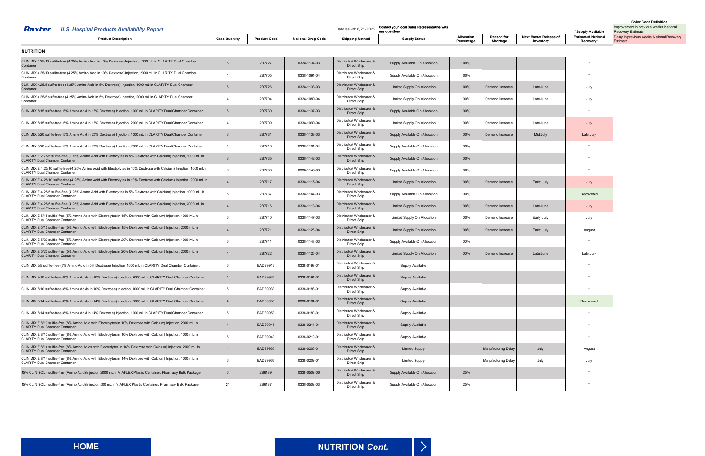

<span id="page-9-0"></span>

| Baxter<br><b>U.S. Hospital Products Availability Report</b>                                                                                                      |                      |                     |                           | Date Issued: 6/21/2022                   | Contact your local Sales Representative with<br>any questions |                          |                               |                                     | *Supply Available                      | Improvement in previous weeks National<br><b>Recovery Estimate</b> |
|------------------------------------------------------------------------------------------------------------------------------------------------------------------|----------------------|---------------------|---------------------------|------------------------------------------|---------------------------------------------------------------|--------------------------|-------------------------------|-------------------------------------|----------------------------------------|--------------------------------------------------------------------|
| <b>Product Description</b>                                                                                                                                       | <b>Case Quantity</b> | <b>Product Code</b> | <b>National Drug Code</b> | <b>Shipping Method</b>                   | <b>Supply Status</b>                                          | Allocation<br>Percentage | <b>Reason for</b><br>Shortage | Next Baxter Release of<br>Inventory | <b>Estimated National</b><br>Recovery' | Delay in previous weeks National Recovery<br>Estimate              |
| <b>NUTRITION</b>                                                                                                                                                 |                      |                     |                           |                                          |                                                               |                          |                               |                                     |                                        |                                                                    |
| CLINIMIX 4.25/10 sulfite-free (4.25% Amino Acid in 10% Dextrose) Injection, 1000 mL in CLARITY Dual Chamber<br>Container                                         | 6                    | 2B7727              | 0338-1134-03              | Distributor/ Wholesaler &<br>Direct Ship | Supply Available On Allocation                                | 100%                     |                               |                                     |                                        |                                                                    |
| CLINIMIX 4.25/10 sulfite-free (4.25% Amino Acid in 10% Dextrose) Injection, 2000 mL in CLARITY Dual Chamber<br>Container                                         | $\overline{4}$       | 2B7705              | 0338-1091-04              | Distributor/ Wholesaler &<br>Direct Ship | Supply Available On Allocation                                | 100%                     |                               |                                     |                                        |                                                                    |
| CLINIMIX 4.25/5 sulfite-free (4.25% Amino Acid in 5% Dextrose) Injection, 1000 mL in CLARITY Dual Chamber<br>Container                                           | 6                    | 2B7726              | 0338-1133-03              | Distributor/ Wholesaler &<br>Direct Ship | Limited Supply On Allocation                                  | 100%                     | Demand Increase               | Late June                           | July                                   |                                                                    |
| CLINIMIX 4.25/5 sulfite-free (4.25% Amino Acid in 5% Dextrose) Injection, 2000 mL in CLARITY Dual Chamber<br>Container                                           | $\overline{4}$       | 2B7704              | 0338-1089-04              | Distributor/ Wholesaler &<br>Direct Ship | Limited Supply On Allocation                                  | 100%                     | Demand Increase               | Late June                           | July                                   |                                                                    |
| CLINIMIX 5/15 sulfite-free (5% Amino Acid in 15% Dextrose) Injection, 1000 mL in CLARITY Dual Chamber Container                                                  | $6\overline{6}$      | 2B7730              | 0338-1137-03              | Distributor/ Wholesaler &<br>Direct Ship | Supply Available On Allocation                                | 100%                     |                               |                                     |                                        |                                                                    |
| CLINIMIX 5/15 sulfite-free (5% Amino Acid in 15% Dextrose) Injection, 2000 mL in CLARITY Dual Chamber Container                                                  | $\overline{4}$       | 2B7709              | 0338-1099-04              | Distributor/ Wholesaler &<br>Direct Ship | Limited Supply On Allocation                                  | 100%                     | Demand Increase               | Late June                           | July                                   |                                                                    |
| CLINIMIX 5/20 sulfite-free (5% Amino Acid in 20% Dextrose) Injection, 1000 mL in CLARITY Dual Chamber Container                                                  | 6                    | 2B7731              | 0338-1138-03              | Distributor/ Wholesaler &<br>Direct Ship | Supply Available On Allocation                                | 100%                     | Demand Increase               | Mid July                            | Late July                              |                                                                    |
| CLINIMIX 5/20 sulfite-free (5% Amino Acid in 20% Dextrose) Injection, 2000 mL in CLARITY Dual Chamber Container                                                  | $\overline{4}$       | 2B7710              | 0338-1101-04              | Distributor/ Wholesaler &<br>Direct Ship | Supply Available On Allocation                                | 100%                     |                               |                                     |                                        |                                                                    |
| CLINIMIX E 2.75/5 sulfite-free (2.75% Amino Acid with Electrolytes in 5% Dextrose with Calcium) Injection, 1000 mL in<br><b>CLARITY Dual Chamber Container</b>   | $6\overline{6}$      | 2B7735              | 0338-1142-03              | Distributor/ Wholesaler &<br>Direct Ship | Supply Available On Allocation                                | 100%                     |                               |                                     |                                        |                                                                    |
| CLINIMIX E 4.25/10 sulfite-free (4.25% Amino Acid with Electrolytes in 10% Dextrose with Calcium) Injection, 1000 mL in<br><b>CLARITY Dual Chamber Container</b> | 6                    | 2B7738              | 0338-1145-03              | Distributor/ Wholesaler &<br>Direct Ship | Supply Available On Allocation                                | 100%                     |                               |                                     |                                        |                                                                    |
| CLINIMIX E 4.25/10 sulfite-free (4.25% Amino Acid with Electrolytes in 10% Dextrose with Calcium) Injection, 2000 mL in<br><b>CLARITY Dual Chamber Container</b> | $\overline{4}$       | 2B7717              | 0338-1115-04              | Distributor/ Wholesaler &<br>Direct Ship | Limited Supply On Allocation                                  | 100%                     | Demand Increase               | Early July                          | July                                   |                                                                    |
| CLINIMIX E 4.25/5 sulfite-free (4.25% Amino Acid with Electrolytes in 5% Dextrose with Calcium) Injection, 1000 mL in<br><b>CLARITY Dual Chamber Container</b>   | 6                    | 2B7737              | 0338-1144-03              | Distributor/ Wholesaler &<br>Direct Ship | Supply Available On Allocation                                | 100%                     |                               |                                     | Recovered                              |                                                                    |
| CLINIMIX E 4.25/5 sulfite-free (4.25% Amino Acid with Electrolytes in 5% Dextrose with Calcium) Injection, 2000 mL in<br><b>CLARITY Dual Chamber Container</b>   | $\overline{4}$       | 2B7716              | 0338-1113-04              | Distributor/ Wholesaler &<br>Direct Ship | Limited Supply On Allocation                                  | 100%                     | Demand Increase               | Late June                           | July                                   |                                                                    |
| CLINIMIX E 5/15 sulfite-free (5% Amino Acid with Electrolytes in 15% Dextrose with Calcium) Injection, 1000 mL in<br><b>CLARITY Dual Chamber Container</b>       | 6                    | 2B7740              | 0338-1147-03              | Distributor/ Wholesaler &<br>Direct Ship | Limited Supply On Allocation                                  | 100%                     | Demand Increase               | Early July                          | July                                   |                                                                    |
| CLINIMIX E 5/15 sulfite-free (5% Amino Acid with Electrolytes in 15% Dextrose with Calcium) Injection, 2000 mL in<br><b>CLARITY Dual Chamber Container</b>       | $\overline{4}$       | 2B7721              | 0338-1123-04              | Distributor/ Wholesaler &<br>Direct Ship | Limited Supply On Allocation                                  | 100%                     | Demand Increase               | Early July                          | August                                 |                                                                    |
| CLINIMIX E 5/20 sulfite-free (5% Amino Acid with Electrolytes in 20% Dextrose with Calcium) Injection, 1000 mL in<br><b>CLARITY Dual Chamber Container</b>       | 6                    | 2B7741              | 0338-1148-03              | Distributor/ Wholesaler &<br>Direct Ship | Supply Available On Allocation                                | 100%                     |                               |                                     | *                                      |                                                                    |
| CLINIMIX E 5/20 sulfite-free (5% Amino Acid with Electrolytes in 20% Dextrose with Calcium) Injection, 2000 mL in<br><b>CLARITY Dual Chamber Container</b>       | $\overline{4}$       | 2B7722              | 0338-1125-04              | Distributor/ Wholesaler &<br>Direct Ship | Limited Supply On Allocation                                  | 100%                     | Demand Increase               | Late June                           | Late July                              |                                                                    |
| CLINIMIX 6/5 sulfite-free (6% Amino Acid in 5% Dextrose) Injection, 1000 mL in CLARITY Dual Chamber Container.                                                   | 6                    | EADB9913            | 0338-0198-01              | Distributor/ Wholesaler &<br>Direct Ship | Supply Available                                              |                          |                               |                                     |                                        |                                                                    |
| CLINIMIX 8/10 sulfite-free (8% Amino Acids in 10% Dextrose) Injection, 2000 mL in CLARITY Dual Chamber Container                                                 | $\overline{4}$       | <b>EADB9935</b>     | 0338-0194-01              | Distributor/ Wholesaler &<br>Direct Ship | <b>Supply Available</b>                                       |                          |                               |                                     |                                        |                                                                    |
| CLINIMIX 8/10 sulfite-free (8% Amino Acids in 10% Dextrose) Injection, 1000 mL in CLARITY Dual Chamber Container.                                                | 6                    | EADB9933            | 0338-0188-01              | Distributor/ Wholesaler &<br>Direct Ship | Supply Available                                              |                          |                               |                                     | $\star$                                |                                                                    |
| CLINIMIX 8/14 sulfite-free (8% Amino Acids in 14% Dextrose) Injection, 2000 mL in CLARITY Dual Chamber Container                                                 | $\overline{4}$       | <b>EADB9955</b>     | 0338-0184-01              | Distributor/ Wholesaler &<br>Direct Ship | <b>Supply Available</b>                                       |                          |                               |                                     | Recovered                              |                                                                    |
| CLINIMIX 8/14 sulfite-free (8% Amino Acid in 14% Dextrose) Injection, 1000 mL in CLARITY Dual Chamber Container.                                                 | 6                    | EADB9953            | 0338-0180-01              | Distributor/ Wholesaler &<br>Direct Ship | Supply Available                                              |                          |                               |                                     |                                        |                                                                    |
| CLINIMIX E 8/10 sulfite-free (8% Amino Acid with Electrolytes in 10% Dextrose with Calcium) Injection, 2000 mL in<br><b>CLARITY Dual Chamber Container</b>       | $\overline{4}$       | EADB9945            | 0338-0214-01              | Distributor/ Wholesaler &<br>Direct Ship | <b>Supply Available</b>                                       |                          |                               |                                     |                                        |                                                                    |
| CLINIMIX E 8/10 sulfite-free (8% Amino Acid with Electrolytes in 10% Dextrose with Calcium) Injection, 1000 mL in<br><b>CLARITY Dual Chamber Container</b>       | 6                    | EADB9943            | 0338-0210-01              | Distributor/ Wholesaler &<br>Direct Ship | Supply Available                                              |                          |                               |                                     | $\star$                                |                                                                    |
| CLINIMIX E 8/14 sulfite-free (8% Amino Acids with Electrolytes in 14% Dextrose with Calcium) Injection, 2000 mL in<br><b>CLARITY Dual Chamber Container</b>      | $\overline{4}$       | <b>EADB9965</b>     | 0338-0206-01              | Distributor/ Wholesaler &<br>Direct Ship | <b>Limited Supply</b>                                         |                          | <b>Manufacturing Delay</b>    | July                                | August                                 |                                                                    |
| CLINIMIX E 8/14 sulfite-free (8% Amino Acid with Electrolytes in 14% Dextrose with Calcium) Injection, 1000 mL in<br><b>CLARITY Dual Chamber Container</b>       | 6                    | EADB9963            | 0338-0202-01              | Distributor/ Wholesaler &<br>Direct Ship | <b>Limited Supply</b>                                         |                          | <b>Manufacturing Delay</b>    | July                                | July                                   |                                                                    |
| 15% CLINISOL - sulfite-free (Amino Acid) Injection 2000 mL in VIAFLEX Plastic Container. Pharmacy Bulk Package                                                   | 6                    | 2B6189              | 0338-0502-06              | Distributor/ Wholesaler &<br>Direct Ship | Supply Available On Allocation                                | 125%                     |                               |                                     |                                        |                                                                    |
| 15% CLINISOL - sulfite-free (Amino Acid) Injection 500 mL in VIAFLEX Plastic Container. Pharmacy Bulk Package                                                    | 24                   | 2B6187              | 0338-0502-03              | Distributor/ Wholesaler &<br>Direct Ship | Supply Available On Allocation                                | 125%                     |                               |                                     |                                        |                                                                    |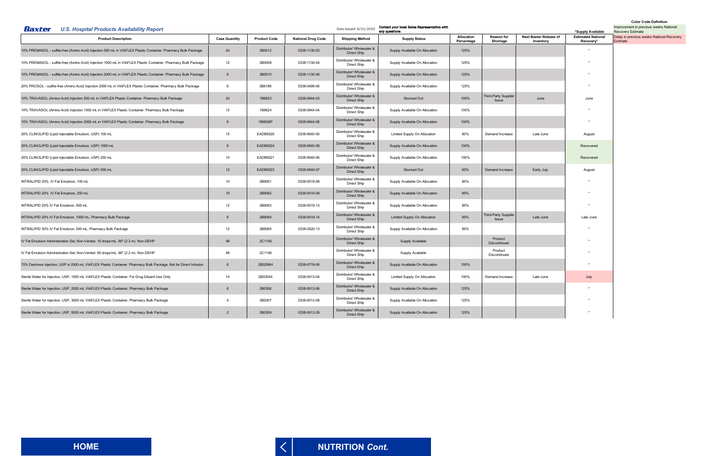<span id="page-10-0"></span>

| U.S. Hospital Products Availability Report<br>Baxter                                                             |                      |                     |                           | Contact your local Sales Representative with<br>Date Issued: 6/21/2022<br>any questions |                                | *Supply Available        | <b>COIDI COUR DRIIIIIU</b><br>Improvement in previous weeks National<br><b>Recovery Estimate</b> |                                     |                                        |                                                       |
|------------------------------------------------------------------------------------------------------------------|----------------------|---------------------|---------------------------|-----------------------------------------------------------------------------------------|--------------------------------|--------------------------|--------------------------------------------------------------------------------------------------|-------------------------------------|----------------------------------------|-------------------------------------------------------|
| <b>Product Description</b>                                                                                       | <b>Case Quantity</b> | <b>Product Code</b> | <b>National Drug Code</b> | <b>Shipping Method</b>                                                                  | <b>Supply Status</b>           | Allocation<br>Percentage | <b>Reason for</b><br>Shortage                                                                    | Next Baxter Release of<br>Inventory | <b>Estimated National</b><br>Recovery* | Delay in previous weeks National Recovery<br>Estimate |
| 10% PREMASOL - sulfite-free (Amino Acid) Injection 500 mL in VIAFLEX Plastic Container. Pharmacy Bulk Package    | 24                   | 2B0012              | 0338-1130-03              | Distributor/ Wholesaler &<br>Direct Ship                                                | Supply Available On Allocation | 125%                     |                                                                                                  |                                     |                                        |                                                       |
| 10% PREMASOL - sulfite-free (Amino Acid) Injection 1000 mL in VIAFLEX Plastic Container. Pharmacy Bulk Package   | 12                   | 2B0009              | 0338-1130-04              | Distributor/ Wholesaler &<br>Direct Ship                                                | Supply Available On Allocation | 125%                     |                                                                                                  |                                     |                                        |                                                       |
| 10% PREMASOL - sulfite-free (Amino Acid) Injection 2000 mL in VIAFLEX Plastic Container. Pharmacy Bulk Package   | $6\overline{6}$      | 2B0010              | 0338-1130-06              | Distributor/ Wholesaler &<br>Direct Ship                                                | Supply Available On Allocation | 125%                     |                                                                                                  |                                     |                                        |                                                       |
| 20% PROSOL - sulfite-free (Amino Acid) Injection 2000 mL in VIAFLEX Plastic Container. Pharmacy Bulk Package     | - 6                  | 2B6186              | 0338-0499-06              | Distributor/ Wholesaler &<br>Direct Ship                                                | Supply Available On Allocation | 125%                     |                                                                                                  |                                     |                                        |                                                       |
| 10% TRAVASOL (Amino Acid) Injection 500 mL in VIAFLEX Plastic Container. Pharmacy Bulk Package                   | 24                   | 1B6623              | 0338-0644-03              | Distributor/ Wholesaler &<br>Direct Ship                                                | Stocked Out                    | 100%                     | Third-Party Supplier<br><b>Issue</b>                                                             | June                                | June                                   |                                                       |
| 10% TRAVASOL (Amino Acid) Injection 1000 mL in VIAFLEX Plastic Container. Pharmacy Bulk Package                  | 12                   | 1B6624              | 0338-0644-04              | Distributor/ Wholesaler &<br>Direct Ship                                                | Supply Available On Allocation | 100%                     |                                                                                                  |                                     |                                        |                                                       |
| 10% TRAVASOL (Amino Acid) Injection 2000 mL in VIAFLEX Plastic Container. Pharmacy Bulk Package                  | 6                    | 1B6626P             | 0338-0644-06              | Distributor/ Wholesaler &<br>Direct Ship                                                | Supply Available On Allocation | 100%                     |                                                                                                  |                                     |                                        |                                                       |
| 20% CLINOLIPID (Lipid Injectable Emulsion, USP) 100 mL                                                           | 15                   | EADB9520            | 0338-9540-05              | Distributor/ Wholesaler &<br>Direct Ship                                                | Limited Supply On Allocation   | 80%                      | Demand Increase                                                                                  | Late June                           | August                                 |                                                       |
| 20% CLINOLIPID (Lipid Injectable Emulsion, USP) 1000 mL                                                          | 6                    | <b>EADB9524</b>     | 0338-9540-08              | Distributor/ Wholesaler &<br>Direct Ship                                                | Supply Available On Allocation | 100%                     |                                                                                                  |                                     | Recovered                              |                                                       |
| 20% CLINOLIPID (Lipid Injectable Emulsion, USP) 250 mL                                                           | 10                   | EADB9521            | 0338-9540-06              | Distributor/ Wholesaler &<br>Direct Ship                                                | Supply Available On Allocation | 100%                     |                                                                                                  |                                     | Recovered                              |                                                       |
| 20% CLINOLIPID (Lipid Injectable Emulsion, USP) 500 mL                                                           | 12                   | EADB9523            | 0338-9540-07              | Distributor/ Wholesaler &<br>Direct Ship                                                | Stocked Out                    | 65%                      | Demand Increase                                                                                  | Early July                          | August                                 |                                                       |
| INTRALIPID 20% IV Fat Emulsion, 100 mL                                                                           | 10                   | 2B6061              | 0338-0519-58              | Distributor/ Wholesaler &<br>Direct Ship                                                | Supply Available On Allocation | 85%                      |                                                                                                  |                                     |                                        |                                                       |
| INTRALIPID 20% IV Fat Emulsion, 250 mL                                                                           | 10                   | 2B6062              | 0338-0519-09              | Distributor/ Wholesaler &<br>Direct Ship                                                | Supply Available On Allocation | 85%                      |                                                                                                  |                                     |                                        |                                                       |
| INTRALIPID 20% IV Fat Emulsion, 500 mL                                                                           | 12                   | 2B6063              | 0338-0519-13              | Distributor/ Wholesaler &<br>Direct Ship                                                | Supply Available On Allocation | 85%                      |                                                                                                  |                                     |                                        |                                                       |
| INTRALIPID 20% IV Fat Emulsion, 1000 mL, Pharmacy Bulk Package                                                   | 6                    | 2B6064              | 0338-0519-14              | Distributor/ Wholesaler &<br>Direct Ship                                                | Limited Supply On Allocation   | 85%                      | Third-Party Supplier<br>Issue                                                                    | Late June                           | Late June                              |                                                       |
| INTRALIPID 30% IV Fat Emulsion, 500 mL, Pharmacy Bulk Package                                                    | 12                   | 2B6065              | 0338-0520-13              | Distributor/ Wholesaler &<br>Direct Ship                                                | Supply Available On Allocation | 85%                      |                                                                                                  |                                     |                                        |                                                       |
| IV Fat Emulsion Administration Set, Non-Vented. 10 drops/mL. 86" (2.2 m). Non-DEHP                               | 48                   | 2C1145              |                           | Distributor/ Wholesaler &<br>Direct Ship                                                | Supply Available               |                          | Product<br>Discontinued                                                                          |                                     |                                        |                                                       |
| IV Fat Emulsion Administration Set, Non-Vented. 60 drops/mL. 86" (2.2 m). Non-DEHP                               | 48                   | 2C1146              |                           | Distributor/ Wholesaler &<br>Direct Ship                                                | Supply Available               |                          | Product<br>Discontinued                                                                          |                                     |                                        |                                                       |
| 70% Dextrose Injection, USP in 2000 mL VIAFLEX Plastic Container. Pharmacy Bulk Package, Not for Direct Infusion | $6\overline{6}$      | 2B0296H             | 0338-0719-06              | Distributor/ Wholesaler &<br>Direct Ship                                                | Supply Available On Allocation | 100%                     |                                                                                                  |                                     |                                        |                                                       |
| Sterile Water for Injection, USP, 1000 mL VIAFLEX Plastic Container. For Drug Diluent Use Only                   | 14                   | 2B0304X             | 0338-0013-04              | Distributor/ Wholesaler &<br>Direct Ship                                                | Limited Supply On Allocation   | 100%                     | Demand Increase                                                                                  | Late June                           | July                                   |                                                       |
| Sterile Water for Injection, USP, 2000 mL VIAFLEX Plastic Container. Pharmacy Bulk Package                       | 6                    | 2B0306              | 0338-0013-06              | Distributor/ Wholesaler &<br>Direct Ship                                                | Supply Available On Allocation | 125%                     |                                                                                                  |                                     |                                        |                                                       |
| Sterile Water for Injection, USP, 3000 mL VIAFLEX Plastic Container. Pharmacy Bulk Package                       | $\overline{4}$       | 2B0307              | 0338-0013-08              | Distributor/ Wholesaler &<br>Direct Ship                                                | Supply Available On Allocation | 125%                     |                                                                                                  |                                     |                                        |                                                       |
| Sterile Water for Injection, USP, 5000 mL VIAFLEX Plastic Container. Pharmacy Bulk Package                       | 2                    | 2B0309              | 0338-0013-29              | Distributor/ Wholesaler &<br>Direct Ship                                                | Supply Available On Allocation | 125%                     |                                                                                                  |                                     |                                        |                                                       |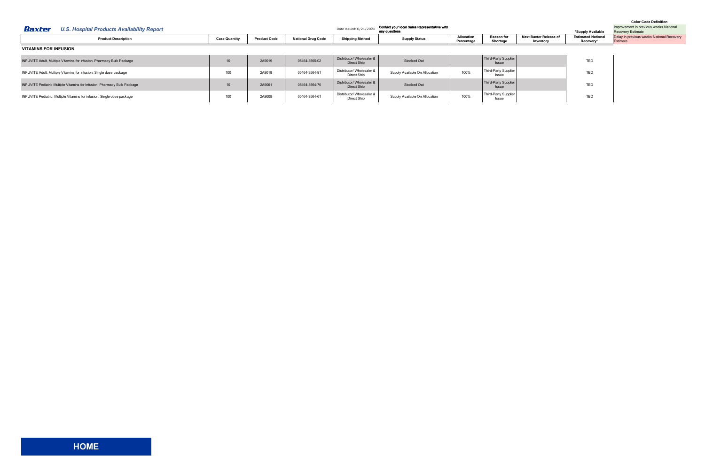<span id="page-11-0"></span>

| Baxter<br><b>U.S. Hospital Products Availability Report</b>                     |                      |                     |                           | Date Issued: 6/21/2022                   | Contact your local Sales Representative with<br>any questions |                          |                                      |                                     | *Supply Available                      | Improvement in previous weeks National<br><b>Recovery Estimate</b> |
|---------------------------------------------------------------------------------|----------------------|---------------------|---------------------------|------------------------------------------|---------------------------------------------------------------|--------------------------|--------------------------------------|-------------------------------------|----------------------------------------|--------------------------------------------------------------------|
| <b>Product Description</b>                                                      | <b>Case Quantity</b> | <b>Product Code</b> | <b>National Drug Code</b> | <b>Shipping Method</b>                   | <b>Supply Status</b>                                          | Allocation<br>Percentage | <b>Reason for</b><br>Shortage        | Next Baxter Release of<br>Inventory | <b>Estimated National</b><br>Recovery* | Delay in previous weeks National Recovery<br>Estimate              |
| <b>VITAMINS FOR INFUSION</b>                                                    |                      |                     |                           |                                          |                                                               |                          |                                      |                                     |                                        |                                                                    |
| <b>INFUVITE Adult, Multiple Vitamins for infusion. Pharmacy Bulk Package</b>    | 10                   | 2A9019              | 05464-3565-02             | Distributor/ Wholesaler &<br>Direct Ship | <b>Stocked Out</b>                                            |                          | Third-Party Supplier<br>Issue        |                                     | TBD                                    |                                                                    |
| INFUVITE Adult, Multiple Vitamins for infusion. Single dose package             | 100                  | 2A9018              | 05464-3564-91             | Distributor/ Wholesaler &<br>Direct Ship | Supply Available On Allocation                                | 100%                     | Third-Party Supplier<br>Issue        |                                     | TBD                                    |                                                                    |
| <b>INFUVITE Pediatric Multiple Vitamins for Infusion. Pharmacy Bulk Package</b> | 10                   | 2A9061              | 05464-3564-70             | Distributor/ Wholesaler &<br>Direct Ship | <b>Stocked Out</b>                                            |                          | Third-Party Supplier<br><b>Issue</b> |                                     | TBD                                    |                                                                    |
| INFUVITE Pediatric, Multiple Vitamins for infusion. Single dose package         | 100                  | 2A9008              | 05464-3564-61             | Distributor/ Wholesaler &<br>Direct Ship | Supply Available On Allocation                                | 100%                     | Third-Party Supplier<br>Issue        |                                     | TBD                                    |                                                                    |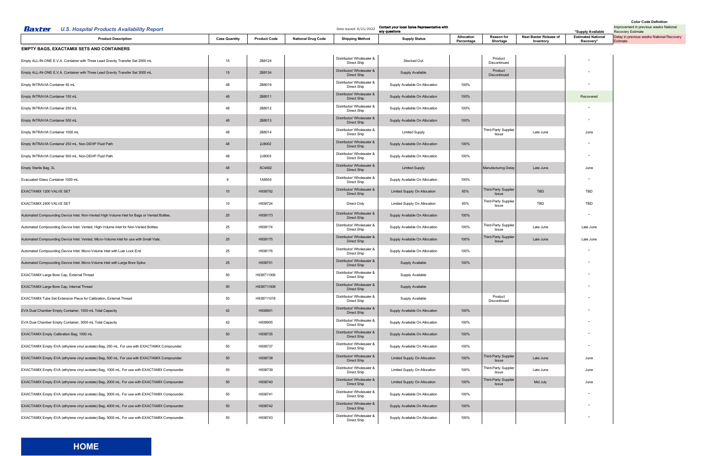<span id="page-12-0"></span>

| Baxter<br><b>U.S. Hospital Products Availability Report</b>                                   |                      |                     |                           | Date Issued: 6/21/2022                   | Contact your local Sales Representative with<br>any questions |                          |                                      |                                     | *Supply Available                      | Improvement in previous weeks National<br><b>Recovery Estimate</b> |
|-----------------------------------------------------------------------------------------------|----------------------|---------------------|---------------------------|------------------------------------------|---------------------------------------------------------------|--------------------------|--------------------------------------|-------------------------------------|----------------------------------------|--------------------------------------------------------------------|
| <b>Product Description</b>                                                                    | <b>Case Quantity</b> | <b>Product Code</b> | <b>National Drug Code</b> | <b>Shipping Method</b>                   | <b>Supply Status</b>                                          | Allocation<br>Percentage | <b>Reason for</b><br>Shortage        | Next Baxter Release of<br>Inventory | <b>Estimated National</b><br>Recovery* | Delay in previous weeks National Recovery<br>Estimate              |
| <b>EMPTY BAGS, EXACTAMIX SETS AND CONTAINERS</b>                                              |                      |                     |                           |                                          |                                                               |                          |                                      |                                     |                                        |                                                                    |
| Empty ALL-IN-ONE E.V.A. Container with Three Lead Gravity Transfer Set 2000 mL                | 15                   | 2B8124              |                           | Distributor/ Wholesaler &<br>Direct Ship | Stocked Out                                                   |                          | Product<br>Discontinued              |                                     |                                        |                                                                    |
| Empty ALL-IN-ONE E.V.A. Container with Three Lead Gravity Transfer Set 3000 mL                | 15                   | 2B8134              |                           | Distributor/ Wholesaler &<br>Direct Ship | Supply Available                                              |                          | Product<br>Discontinued              |                                     |                                        |                                                                    |
| Empty INTRAVIA Container 50 mL                                                                | 48                   | 2B8019              |                           | Distributor/ Wholesaler &<br>Direct Ship | Supply Available On Allocation                                | 100%                     |                                      |                                     |                                        |                                                                    |
| Empty INTRAVIA Container 150 mL                                                               | 48                   | 2B8011              |                           | Distributor/ Wholesaler &<br>Direct Ship | Supply Available On Allocation                                | 100%                     |                                      |                                     | Recovered                              |                                                                    |
| Empty INTRAVIA Container 250 mL                                                               | 48                   | 2B8012              |                           | Distributor/ Wholesaler &<br>Direct Ship | Supply Available On Allocation                                | 100%                     |                                      |                                     |                                        |                                                                    |
| Empty INTRAVIA Container 500 mL                                                               | 48                   | 2B8013              |                           | Distributor/ Wholesaler &<br>Direct Ship | Supply Available On Allocation                                | 100%                     |                                      |                                     |                                        |                                                                    |
| Empty INTRAVIA Container 1000 mL                                                              | 48                   | 2B8014              |                           | Distributor/ Wholesaler &<br>Direct Ship | <b>Limited Supply</b>                                         |                          | Third-Party Supplier<br>Issue        | Late June                           | June                                   |                                                                    |
| Empty INTRAVIA Container 250 mL. Non-DEHP Fluid Path                                          | 48                   | 2J8002              |                           | Distributor/ Wholesaler &<br>Direct Ship | Supply Available On Allocation                                | 100%                     |                                      |                                     |                                        |                                                                    |
| Empty INTRAVIA Container 500 mL. Non-DEHP Fluid Path                                          | 48                   | 2J8003              |                           | Distributor/ Wholesaler &<br>Direct Ship | Supply Available On Allocation                                | 100%                     |                                      |                                     |                                        |                                                                    |
| Empty Sterile Bag, 3L                                                                         | 48                   | 5C4462              |                           | Distributor/ Wholesaler &<br>Direct Ship | <b>Limited Supply</b>                                         |                          | <b>Manufacturing Delay</b>           | Late June                           | June                                   |                                                                    |
| Evacuated Glass Container 1000 mL                                                             |                      | 1A8504              |                           | Distributor/ Wholesaler &<br>Direct Ship | Supply Available On Allocation                                | 100%                     |                                      |                                     |                                        |                                                                    |
| EXACTAMIX 1200 VALVE SET                                                                      | 10                   | H938792             |                           | Distributor/ Wholesaler &<br>Direct Ship | Limited Supply On Allocation                                  | 65%                      | Third-Party Supplier<br><b>Issue</b> | <b>TBD</b>                          | TBD                                    |                                                                    |
| EXACTAMIX 2400 VALVE SET                                                                      | 10                   | H938724             |                           | Direct Only                              | Limited Supply On Allocation                                  | 65%                      | hird-Party Supplier<br>Issue         | TBD                                 | TBD                                    |                                                                    |
| Automated Compounding Device Inlet. Non-Vented High Volume Inlet for Bags or Vented Bottles.  | 25                   | H938173             |                           | Distributor/ Wholesaler &<br>Direct Ship | Supply Available On Allocation                                | 100%                     |                                      |                                     |                                        |                                                                    |
| Automated Compounding Device Inlet. Vented, High-Volume Inlet for Non-Vented Bottles.         | 25                   | H938174             |                           | Distributor/ Wholesaler &<br>Direct Ship | Supply Available On Allocation                                | 100%                     | Third-Party Supplier<br>Issue        | Late June                           | Late June                              |                                                                    |
| Automated Compounding Device Inlet. Vented, Micro-Volume inlet for use with Small Vials.      | 25                   | H938175             |                           | Distributor/ Wholesaler &<br>Direct Ship | Supply Available On Allocation                                | 100%                     | Third-Party Supplier<br><b>Issue</b> | Late June                           | Late June                              |                                                                    |
| Automated Compounding Device Inlet. Micro-Volume Inlet with Luer Lock End                     | 25                   | H938176             |                           | Distributor/ Wholesaler &<br>Direct Ship | Supply Available On Allocation                                | 100%                     |                                      |                                     |                                        |                                                                    |
| Automated Compounding Device Inlet. Micro-Volume Inlet with Large Bore Spike.                 | 25                   | H938751             |                           | Distributor/ Wholesaler &<br>Direct Ship | Supply Available                                              | 100%                     |                                      |                                     |                                        |                                                                    |
| EXACTAMIX Large Bore Cap, External Thread                                                     | 50                   | H938711006          |                           | Distributor/ Wholesaler &<br>Direct Ship | Supply Available                                              |                          |                                      |                                     |                                        |                                                                    |
| EXACTAMIX Large Bore Cap, Internal Thread                                                     | 50                   | H938711008          |                           | Distributor/ Wholesaler &<br>Direct Ship | Supply Available                                              |                          |                                      |                                     |                                        |                                                                    |
| EXACTAMIX Tube Set Extension Piece for Calibration, External Thread                           | 50                   | H938711018          |                           | Distributor/ Wholesaler &<br>Direct Ship | Supply Available                                              |                          | Product<br>Discontinued              |                                     |                                        |                                                                    |
| EVA Dual Chamber Empty Container, 1500 mL Total Capacity                                      | 42                   | H938901             |                           | Distributor/ Wholesaler &<br>Direct Ship | Supply Available On Allocation                                | 100%                     |                                      |                                     |                                        |                                                                    |
| EVA Dual Chamber Empty Container, 3000 mL Total Capacity                                      | 42                   | H938905             |                           | Distributor/ Wholesaler &<br>Direct Ship | Supply Available On Allocation                                | 100%                     |                                      |                                     |                                        |                                                                    |
| EXACTAMIX Empty Calibration Bag, 1000 mL                                                      | 50                   | H938735             |                           | Distributor/ Wholesaler &<br>Direct Ship | Supply Available On Allocation                                | 100%                     |                                      |                                     |                                        |                                                                    |
| EXACTAMIX Empty EVA (ethylene vinyl acetate) Bag, 250 mL. For use with EXACTAMIX Compounder.  | 50                   | H938737             |                           | Distributor/ Wholesaler &<br>Direct Ship | Supply Available On Allocation                                | 100%                     |                                      |                                     |                                        |                                                                    |
| EXACTAMIX Empty EVA (ethylene vinyl acetate) Bag, 500 mL. For use with EXACTAMIX Compounder.  | 50                   | H938738             |                           | Distributor/ Wholesaler &<br>Direct Ship | Limited Supply On Allocation                                  | 100%                     | Third-Party Supplier<br>Issue        | Late June                           | June                                   |                                                                    |
| EXACTAMIX Empty EVA (ethylene vinyl acetate) Bag, 1000 mL. For use with EXACTAMIX Compounder. | 50                   | H938739             |                           | Distributor/ Wholesaler &<br>Direct Ship | Limited Supply On Allocation                                  | 100%                     | Third-Party Supplier<br>Issue        | Late June                           | June                                   |                                                                    |
| EXACTAMIX Empty EVA (ethylene vinyl acetate) Bag, 2000 mL. For use with EXACTAMIX Compounder. | 50                   | H938740             |                           | Distributor/ Wholesaler &<br>Direct Ship | Limited Supply On Allocation                                  | 100%                     | Third-Party Supplier<br>Issue        | Mid July                            | June                                   |                                                                    |
| EXACTAMIX Empty EVA (ethylene vinyl acetate) Bag, 3000 mL. For use with EXACTAMIX Compounder. | 50                   | H938741             |                           | Distributor/ Wholesaler &<br>Direct Ship | Supply Available On Allocation                                | 100%                     |                                      |                                     |                                        |                                                                    |
| EXACTAMIX Empty EVA (ethylene vinyl acetate) Bag, 4000 mL. For use with EXACTAMIX Compounder. | 50                   | H938742             |                           | Distributor/ Wholesaler &<br>Direct Ship | Supply Available On Allocation                                | 100%                     |                                      |                                     |                                        |                                                                    |
| EXACTAMIX Empty EVA (ethylene vinyl acetate) Bag, 5000 mL. For use with EXACTAMIX Compounder. | 50                   | H938743             |                           | Distributor/ Wholesaler &<br>Direct Ship | Supply Available On Allocation                                | 100%                     |                                      |                                     |                                        |                                                                    |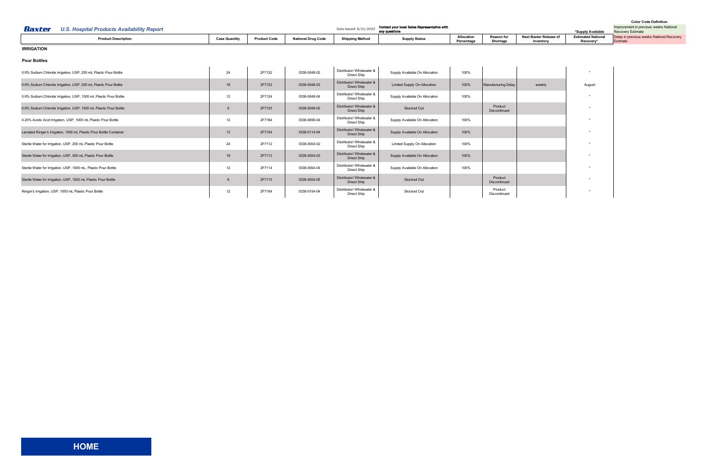| <b>Color Code Definition</b> |  |
|------------------------------|--|
|------------------------------|--|

<span id="page-13-0"></span>

| Baxter<br><b>U.S. Hospital Products Availability Report</b>         |                      |                     |                           | Date Issued: 6/21/2022                          | Contact your local Sales Representative with<br>any questions |                          |                               |                                            | *Supply Available                      | Improvement in previous weeks National<br><b>Recovery Estimate</b> |
|---------------------------------------------------------------------|----------------------|---------------------|---------------------------|-------------------------------------------------|---------------------------------------------------------------|--------------------------|-------------------------------|--------------------------------------------|----------------------------------------|--------------------------------------------------------------------|
| <b>Product Description</b>                                          | <b>Case Quantity</b> | <b>Product Code</b> | <b>National Drug Code</b> | <b>Shipping Method</b>                          | <b>Supply Status</b>                                          | Allocation<br>Percentage | <b>Reason for</b><br>Shortage | <b>Next Baxter Release of</b><br>Inventory | <b>Estimated National</b><br>Recovery* | Delay in previous weeks National Recovery<br>Estimate              |
| <b>IRRIGATION</b>                                                   |                      |                     |                           |                                                 |                                                               |                          |                               |                                            |                                        |                                                                    |
| <b>Pour Bottles</b>                                                 |                      |                     |                           |                                                 |                                                               |                          |                               |                                            |                                        |                                                                    |
| 0.9% Sodium Chloride Irrigation, USP, 250 mL Plastic Pour Bottle    | 24                   | 2F7122              | 0338-0048-02              | Distributor/ Wholesaler &<br>Direct Ship        | Supply Available On Allocation                                | 100%                     |                               |                                            | $\star$                                |                                                                    |
| 0.9% Sodium Chloride Irrigation, USP, 500 mL Plastic Pour Bottle    | 18                   | 2F7123              | 0338-0048-03              | Distributor/ Wholesaler &<br><b>Direct Ship</b> | <b>Limited Supply On Allocation</b>                           | 100%                     | Manufacturing Delay           | weekly                                     | August                                 |                                                                    |
| 0.9% Sodium Chloride Irrigation, USP, 1000 mL Plastic Pour Bottle   | 12                   | 2F7124              | 0338-0048-04              | Distributor/ Wholesaler &<br>Direct Ship        | Supply Available On Allocation                                | 100%                     |                               |                                            |                                        |                                                                    |
| 0.9% Sodium Chloride Irrigation, USP, 1500 mL Plastic Pour Bottle   |                      | 2F7125              | 0338-0048-05              | Distributor/ Wholesaler &<br>Direct Ship        | Stocked Out                                                   |                          | Product<br>Discontinued       |                                            | $\star$                                |                                                                    |
| 0.25% Acetic Acid Irrigation, USP, 1000 mL Plastic Pour Bottle      | 12                   | 2F7184              | 0338-0656-04              | Distributor/ Wholesaler &<br>Direct Ship        | Supply Available On Allocation                                | 100%                     |                               |                                            | $\star$                                |                                                                    |
| Lactated Ringer's Irrigation, 1000 mL Plastic Pour Bottle Container | 12                   | 2F7154              | 0338-0114-04              | Distributor/ Wholesaler &<br>Direct Ship        | Supply Available On Allocation                                | 100%                     |                               |                                            |                                        |                                                                    |
| Sterile Water for Irrigation, USP, 250 mL Plastic Pour Bottle       | 24                   | 2F7112              | 0338-0004-02              | Distributor/ Wholesaler &<br>Direct Ship        | Limited Supply On Allocation                                  | 100%                     |                               |                                            |                                        |                                                                    |
| Sterile Water for Irrigation, USP, 500 mL Plastic Pour Bottle       | 18                   | 2F7113              | 0338-0004-03              | Distributor/ Wholesaler &<br>Direct Ship        | Supply Available On Allocation                                | 100%                     |                               |                                            | $\star$                                |                                                                    |
| Sterile Water for Irrigation, USP, 1000 mL, Plastic Pour Bottle     | 12                   | 2F7114              | 0338-0004-04              | Distributor/ Wholesaler &<br>Direct Ship        | Supply Available On Allocation                                | 100%                     |                               |                                            | $\star$                                |                                                                    |
| Sterile Water for Irrigation, USP, 1500 mL Plastic Pour Bottle      |                      | 2F7115              | 0338-0004-05              | Distributor/ Wholesaler &<br>Direct Ship        | Stocked Out                                                   |                          | Product<br>Discontinued       |                                            | $\star$                                |                                                                    |
| Ringer's Irrigation, USP, 1000 mL Plastic Pour Bottle               | 12                   | 2F7164              | 0338-0104-04              | Distributor/ Wholesaler &<br>Direct Ship        | Stocked Out                                                   |                          | Product<br>Discontinued       |                                            | $\star$                                |                                                                    |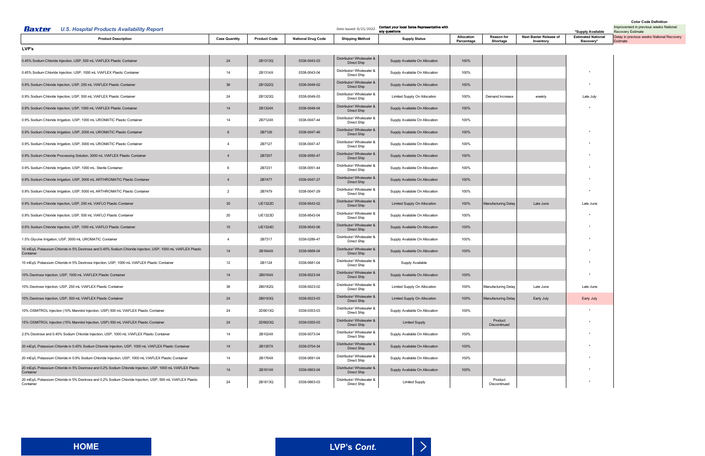<span id="page-14-0"></span>

| <b>U.S. Hospital Products Availability Report</b><br>Baxter                                                               |                      |                     |                           | Date Issued: 6/21/2022                   | Contact your local Sales Representative with<br>any questions |                                 |                               |                                     | *Supply Available                      | <b>UUIUI UUUU DUIIIIIIUI</b><br>Improvement in previous weeks National<br><b>Recovery Estimate</b> |
|---------------------------------------------------------------------------------------------------------------------------|----------------------|---------------------|---------------------------|------------------------------------------|---------------------------------------------------------------|---------------------------------|-------------------------------|-------------------------------------|----------------------------------------|----------------------------------------------------------------------------------------------------|
| <b>Product Description</b>                                                                                                | <b>Case Quantity</b> | <b>Product Code</b> | <b>National Drug Code</b> | <b>Shipping Method</b>                   | <b>Supply Status</b>                                          | <b>Allocation</b><br>Percentage | <b>Reason for</b><br>Shortage | Next Baxter Release of<br>Inventory | <b>Estimated National</b><br>Recovery* | Delay in previous weeks National Recovery<br>Estimate                                              |
| LVP's                                                                                                                     |                      |                     |                           |                                          |                                                               |                                 |                               |                                     |                                        |                                                                                                    |
| 0.45% Sodium Chloride Injection, USP, 500 mL VIAFLEX Plastic Container                                                    | 24                   | 2B1313Q             | 0338-0043-03              | Distributor/ Wholesaler &<br>Direct Ship | Supply Available On Allocation                                | 100%                            |                               |                                     |                                        |                                                                                                    |
| 0.45% Sodium Chloride Injection, USP, 1000 mL VIAFLEX Plastic Container                                                   | 14                   | 2B1314X             | 0338-0043-04              | Distributor/ Wholesaler &<br>Direct Ship | Supply Available On Allocation                                | 100%                            |                               |                                     |                                        |                                                                                                    |
| 0.9% Sodium Chloride Injection, USP, 250 mL VIAFLEX Plastic Container                                                     | 36                   | 2B1322Q             | 0338-0049-02              | Distributor/ Wholesaler &<br>Direct Ship | Supply Available On Allocation                                | 100%                            |                               |                                     |                                        |                                                                                                    |
| 0.9% Sodium Chloride Injection, USP, 500 mL VIAFLEX Plastic Container                                                     | 24                   | 2B1323Q             | 0338-0049-03              | Distributor/ Wholesaler &<br>Direct Ship | Limited Supply On Allocation                                  | 100%                            | Demand Increase               | weekly                              | Late July                              |                                                                                                    |
| 0.9% Sodium Chloride Injection, USP, 1000 mL VIAFLEX Plastic Container                                                    | 14                   | 2B1324X             | 0338-0049-04              | Distributor/ Wholesaler &<br>Direct Ship | Supply Available On Allocation                                | 100%                            |                               |                                     |                                        |                                                                                                    |
| 0.9% Sodium Chloride Irrigation, USP, 1000 mL UROMATIC Plastic Container                                                  | 14                   | 2B7124X             | 0338-0047-44              | Distributor/ Wholesaler &<br>Direct Ship | Supply Available On Allocation                                | 100%                            |                               |                                     |                                        |                                                                                                    |
| 0.9% Sodium Chloride Irrigation, USP, 2000 mL UROMATIC Plastic Container                                                  | 6                    | 2B7126              | 0338-0047-46              | Distributor/ Wholesaler &<br>Direct Ship | Supply Available On Allocation                                | 100%                            |                               |                                     |                                        |                                                                                                    |
| 0.9% Sodium Chloride Irrigation, USP, 3000 mL UROMATIC Plastic Container                                                  | $\overline{4}$       | 2B7127              | 0338-0047-47              | Distributor/ Wholesaler &<br>Direct Ship | Supply Available On Allocation                                | 100%                            |                               |                                     |                                        |                                                                                                    |
| 0.9% Sodium Chloride Processing Solution, 3000 mL VIAFLEX Plastic Container                                               | $\overline{4}$       | 2B7207              | 0338-0050-47              | Distributor/ Wholesaler &<br>Direct Ship | Supply Available On Allocation                                | 100%                            |                               |                                     |                                        |                                                                                                    |
| 0.9% Sodium Chloride Irrigation, USP, 1000 mL. Sterile Container.                                                         | 6                    | 2B7231              | 0338-0051-44              | Distributor/ Wholesaler &<br>Direct Ship | Supply Available On Allocation                                | 100%                            |                               |                                     |                                        |                                                                                                    |
| 0.9% Sodium Chloride Irrigation, USP, 3000 mL ARTHROMATIC Plastic Container                                               | $\overline{4}$       | 2B7477              | 0338-0047-27              | Distributor/ Wholesaler &<br>Direct Ship | Supply Available On Allocation                                | 100%                            |                               |                                     |                                        |                                                                                                    |
| 0.9% Sodium Chloride Irrigation, USP, 5000 mL ARTHROMATIC Plastic Container                                               | 2                    | 2B7479              | 0338-0047-29              | Distributor/ Wholesaler &<br>Direct Ship | Supply Available On Allocation                                | 100%                            |                               |                                     |                                        |                                                                                                    |
| 0.9% Sodium Chloride Injection, USP, 250 mL VIAFLO Plastic Container                                                      | $30\,$               | <b>UE1322D</b>      | 0338-9543-02              | Distributor/ Wholesaler &<br>Direct Ship | Limited Supply On Allocation                                  | 100%                            | <b>Manufacturing Delay</b>    | Late June                           | Late June                              |                                                                                                    |
| 0.9% Sodium Chloride Injection, USP, 500 mL VIAFLO Plastic Container                                                      | 20                   | <b>UE1323D</b>      | 0338-9543-04              | Distributor/ Wholesaler &<br>Direct Ship | Supply Available On Allocation                                | 100%                            |                               |                                     |                                        |                                                                                                    |
| 0.9% Sodium Chloride Injection, USP, 1000 mL VIAFLO Plastic Container                                                     | 10                   | <b>UE1324D</b>      | 0338-9543-06              | Distributor/ Wholesaler &<br>Direct Ship | Supply Available On Allocation                                | 100%                            |                               |                                     |                                        |                                                                                                    |
| 1.5% Glycine Irrigation, USP, 3000 mL UROMATIC Container                                                                  | $\overline{4}$       | 2B7317              | 0338-0289-47              | Distributor/ Wholesaler &<br>Direct Ship | Supply Available On Allocation                                | 100%                            |                               |                                     |                                        |                                                                                                    |
| 10 mEq/L Potassium Chloride in 5% Dextrose and 0.45% Sodium Chloride Injection, USP, 1000 mL VIAFLEX Plastic<br>Container | 14                   | 2B1644X             | 0338-0669-04              | Distributor/ Wholesaler &<br>Direct Ship | Supply Available On Allocation                                | 100%                            |                               |                                     |                                        |                                                                                                    |
| 10 mEq/L Potassium Chloride in 5% Dextrose Injection, USP, 1000 mL VIAFLEX Plastic Container                              | 12                   | 2B1124              | 0338-0681-04              | Distributor/ Wholesaler &<br>Direct Ship | Supply Available                                              |                                 |                               |                                     |                                        |                                                                                                    |
| 10% Dextrose Injection, USP, 1000 mL VIAFLEX Plastic Container                                                            | 14                   | 2B0164X             | 0338-0023-04              | Distributor/ Wholesaler &<br>Direct Ship | Supply Available On Allocation                                | 100%                            |                               |                                     |                                        |                                                                                                    |
| 10% Dextrose Injection, USP, 250 mL VIAFLEX Plastic Container                                                             | 36                   | 2B0162Q             | 0338-0023-02              | Distributor/ Wholesaler &<br>Direct Ship | Limited Supply On Allocation                                  | 100%                            | <b>Manufacturing Delay</b>    | Late June                           | Late June                              |                                                                                                    |
| 10% Dextrose Injection, USP, 500 mL VIAFLEX Plastic Container                                                             | 24                   | 2B0163Q             | 0338-0023-03              | Distributor/ Wholesaler &<br>Direct Ship | Limited Supply On Allocation                                  | 100%                            | Manufacturing Delay           | Early July                          | Early July                             |                                                                                                    |
| 10% OSMITROL Injection (10% Mannitol Injection, USP) 500 mL VIAFLEX Plastic Container                                     | 24                   | 2D5613Q             | 0338-0353-03              | Distributor/ Wholesaler &<br>Direct Ship | Supply Available On Allocation                                | 100%                            |                               |                                     |                                        |                                                                                                    |
| 15% OSMITROL Injection (15% Mannitol Injection, USP) 500 mL VIAFLEX Plastic Container                                     | 24                   | 2D5623Q             | 0338-0355-03              | Distributor/ Wholesaler &<br>Direct Ship | <b>Limited Supply</b>                                         |                                 | Product<br>Discontinued       |                                     |                                        |                                                                                                    |
| 2.5% Dextrose and 0.45% Sodium Chloride Injection, USP, 1000 mL VIAFLEX Plastic Container                                 | 14                   | 2B1024X             | 0338-0073-04              | Distributor/ Wholesaler &<br>Direct Ship | Supply Available On Allocation                                | 100%                            |                               |                                     |                                        |                                                                                                    |
| 20 mEq/L Potassium Chloride in 0.45% Sodium Chloride Injection, USP, 1000 mL VIAFLEX Plastic Container                    | 14                   | 2B1357X             | 0338-0704-34              | Distributor/ Wholesaler &<br>Direct Ship | Supply Available On Allocation                                | 100%                            |                               |                                     |                                        |                                                                                                    |
| 20 mEq/L Potassium Chloride in 0.9% Sodium Chloride Injection, USP, 1000 mL VIAFLEX Plastic Container                     | 14                   | 2B1764X             | 0338-0691-04              | Distributor/ Wholesaler &<br>Direct Ship | Supply Available On Allocation                                | 100%                            |                               |                                     |                                        |                                                                                                    |
| 20 mEq/L Potassium Chloride in 5% Dextrose and 0.2% Sodium Chloride Injection, USP, 1000 mL VIAFLEX Plastic<br>Container  | 14                   | 2B1614X             | 0338-0663-04              | Distributor/ Wholesaler &<br>Direct Ship | Supply Available On Allocation                                | 100%                            |                               |                                     |                                        |                                                                                                    |
| 20 mEq/L Potassium Chloride in 5% Dextrose and 0.2% Sodium Chloride Injection, USP, 500 mL VIAFLEX Plastic<br>Container   | 24                   | 2B1613Q             | 0338-0663-03              | Distributor/ Wholesaler &<br>Direct Ship | <b>Limited Supply</b>                                         |                                 | Product<br>Discontinued       |                                     |                                        |                                                                                                    |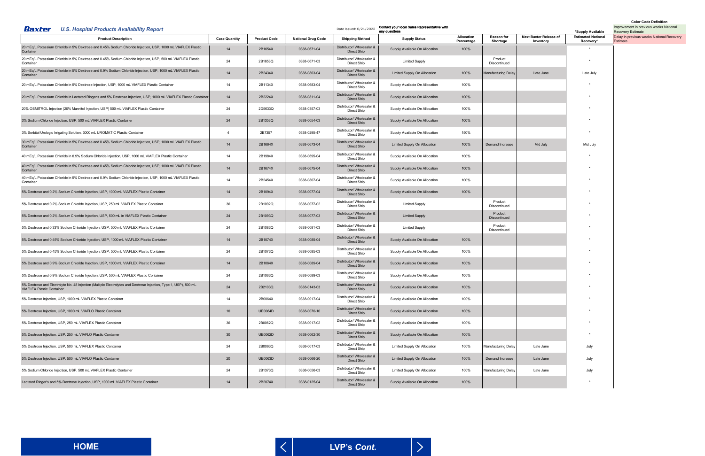<span id="page-15-0"></span>

| <b>U.S. Hospital Products Availability Report</b><br>Baxter                                                                                          |                      |                     |                           | Date Issued: 6/21/2022                   | Contact your local Sales Representative with<br>any questions |                          |                               |                                            | *Supply Available                      | <b>COIOL COUR DEFINITION</b><br>Improvement in previous weeks National<br><b>Recovery Estimate</b> |
|------------------------------------------------------------------------------------------------------------------------------------------------------|----------------------|---------------------|---------------------------|------------------------------------------|---------------------------------------------------------------|--------------------------|-------------------------------|--------------------------------------------|----------------------------------------|----------------------------------------------------------------------------------------------------|
| <b>Product Description</b>                                                                                                                           | <b>Case Quantity</b> | <b>Product Code</b> | <b>National Drug Code</b> | <b>Shipping Method</b>                   | <b>Supply Status</b>                                          | Allocation<br>Percentage | <b>Reason for</b><br>Shortage | <b>Next Baxter Release of</b><br>Inventory | <b>Estimated National</b><br>Recovery* | Delay in previous weeks National Recovery<br>Estimate                                              |
| 20 mEq/L Potassium Chloride in 5% Dextrose and 0.45% Sodium Chloride Injection, USP, 1000 mL VIAFLEX Plastic<br>Container                            | 14                   | 2B1654X             | 0338-0671-04              | Distributor/ Wholesaler &<br>Direct Ship | Supply Available On Allocation                                | 100%                     |                               |                                            |                                        |                                                                                                    |
| 20 mEq/L Potassium Chloride in 5% Dextrose and 0.45% Sodium Chloride Injection, USP, 500 mL VIAFLEX Plastic<br>Container                             | 24                   | 2B1653Q             | 0338-0671-03              | Distributor/ Wholesaler &<br>Direct Ship | <b>Limited Supply</b>                                         |                          | Product<br>Discontinued       |                                            |                                        |                                                                                                    |
| 20 mEq/L Potassium Chloride in 5% Dextrose and 0.9% Sodium Chloride Injection, USP, 1000 mL VIAFLEX Plastic<br>Container                             | 14                   | 2B2434X             | 0338-0803-04              | Distributor/ Wholesaler &<br>Direct Ship | Limited Supply On Allocation                                  | 100%                     | <b>Manufacturing Delay</b>    | Late June                                  | Late July                              |                                                                                                    |
| 20 mEq/L Potassium Chloride in 5% Dextrose Injection, USP, 1000 mL VIAFLEX Plastic Container                                                         | 14                   | 2B1134X             | 0338-0683-04              | Distributor/ Wholesaler &<br>Direct Ship | Supply Available On Allocation                                | 100%                     |                               |                                            |                                        |                                                                                                    |
| 20 mEq/L Potassium Chloride in Lactated Ringer's and 5% Dextrose Injection, USP, 1000 mL VIAFLEX Plastic Container                                   | 14                   | 2B2224X             | 0338-0811-04              | Distributor/ Wholesaler &<br>Direct Ship | Supply Available On Allocation                                | 100%                     |                               |                                            |                                        |                                                                                                    |
| 20% OSMITROL Injection (20% Mannitol Injection, USP) 500 mL VIAFLEX Plastic Container                                                                | 24                   | 2D5633Q             | 0338-0357-03              | Distributor/ Wholesaler &<br>Direct Ship | Supply Available On Allocation                                | 100%                     |                               |                                            |                                        |                                                                                                    |
| 3% Sodium Chloride Injection, USP, 500 mL VIAFLEX Plastic Container                                                                                  | 24                   | 2B1353Q             | 0338-0054-03              | Distributor/ Wholesaler &<br>Direct Ship | Supply Available On Allocation                                | 100%                     |                               |                                            |                                        |                                                                                                    |
| 3% Sorbitol Urologic Irrigating Solution, 3000 mL UROMATIC Plastic Container                                                                         | $\overline{4}$       | 2B7357              | 0338-0295-47              | Distributor/ Wholesaler &<br>Direct Ship | Supply Available On Allocation                                | 150%                     |                               |                                            |                                        |                                                                                                    |
| 30 mEq/L Potassium Chloride in 5% Dextrose and 0.45% Sodium Chloride Injection, USP, 1000 mL VIAFLEX Plastic<br>Container                            | 14                   | 2B1664X             | 0338-0673-04              | Distributor/ Wholesaler &<br>Direct Ship | Limited Supply On Allocation                                  | 100%                     | Demand Increase               | Mid July                                   | Mid July                               |                                                                                                    |
| 40 mEq/L Potassium Chloride in 0.9% Sodium Chloride Injection, USP, 1000 mL VIAFLEX Plastic Container                                                | 14                   | 2B1984X             | 0338-0695-04              | Distributor/ Wholesaler &<br>Direct Ship | Supply Available On Allocation                                | 100%                     |                               |                                            |                                        |                                                                                                    |
| 40 mEq/L Potassium Chloride in 5% Dextrose and 0.45% Sodium Chloride Injection, USP, 1000 mL VIAFLEX Plastic<br>Container                            | 14                   | 2B1674X             | 0338-0675-04              | Distributor/ Wholesaler &<br>Direct Ship | Supply Available On Allocation                                | 100%                     |                               |                                            |                                        |                                                                                                    |
| 40 mEq/L Potassium Chloride in 5% Dextrose and 0.9% Sodium Chloride Injection, USP, 1000 mL VIAFLEX Plastic<br>Container                             | 14                   | 2B2454X             | 0338-0807-04              | Distributor/ Wholesaler &<br>Direct Ship | Supply Available On Allocation                                | 100%                     |                               |                                            |                                        |                                                                                                    |
| 5% Dextrose and 0.2% Sodium Chloride Injection, USP, 1000 mL VIAFLEX Plastic Container                                                               | 14                   | 2B1094X             | 0338-0077-04              | Distributor/ Wholesaler &<br>Direct Ship | Supply Available On Allocation                                | 100%                     |                               |                                            |                                        |                                                                                                    |
| 5% Dextrose and 0.2% Sodium Chloride Injection, USP, 250 mL VIAFLEX Plastic Container                                                                | 36                   | 2B1092Q             | 0338-0077-02              | Distributor/ Wholesaler &<br>Direct Ship | <b>Limited Supply</b>                                         |                          | Product<br>Discontinued       |                                            |                                        |                                                                                                    |
| 5% Dextrose and 0.2% Sodium Chloride Injection, USP, 500 mL in VIAFLEX Plastic Container                                                             | 24                   | 2B1093Q             | 0338-0077-03              | Distributor/ Wholesaler &<br>Direct Ship | <b>Limited Supply</b>                                         |                          | Product<br>Discontinued       |                                            |                                        |                                                                                                    |
| 5% Dextrose and 0.33% Sodium Chloride Injection, USP, 500 mL VIAFLEX Plastic Container                                                               | 24                   | 2B1083Q             | 0338-0081-03              | Distributor/ Wholesaler &<br>Direct Ship | <b>Limited Supply</b>                                         |                          | Product<br>Discontinued       |                                            |                                        |                                                                                                    |
| 5% Dextrose and 0.45% Sodium Chloride Injection, USP, 1000 mL VIAFLEX Plastic Container                                                              | 14                   | 2B1074X             | 0338-0085-04              | Distributor/ Wholesaler &<br>Direct Ship | Supply Available On Allocation                                | 100%                     |                               |                                            |                                        |                                                                                                    |
| 5% Dextrose and 0.45% Sodium Chloride Injection, USP, 500 mL VIAFLEX Plastic Container                                                               | 24                   | 2B1073Q             | 0338-0085-03              | Distributor/ Wholesaler &<br>Direct Ship | Supply Available On Allocation                                | 100%                     |                               |                                            |                                        |                                                                                                    |
| 5% Dextrose and 0.9% Sodium Chloride Injection, USP, 1000 mL VIAFLEX Plastic Container                                                               | 14                   | 2B1064X             | 0338-0089-04              | Distributor/ Wholesaler &<br>Direct Ship | Supply Available On Allocation                                | 100%                     |                               |                                            |                                        |                                                                                                    |
| 5% Dextrose and 0.9% Sodium Chloride Injection, USP, 500 mL VIAFLEX Plastic Container                                                                | 24                   | 2B1063Q             | 0338-0089-03              | Distributor/ Wholesaler &<br>Direct Ship | Supply Available On Allocation                                | 100%                     |                               |                                            |                                        |                                                                                                    |
| 5% Dextrose and Electrolyte No. 48 Injection (Multiple Electrolytes and Dextrose Injection, Type 1, USP), 500 mL<br><b>VIAFLEX Plastic Container</b> | 24                   | 2B2103Q             | 0338-0143-03              | Distributor/ Wholesaler &<br>Direct Ship | Supply Available On Allocation                                | 100%                     |                               |                                            |                                        |                                                                                                    |
| 5% Dextrose Injection, USP, 1000 mL VIAFLEX Plastic Container                                                                                        | 14                   | 2B0064X             | 0338-0017-04              | Distributor/ Wholesaler &<br>Direct Ship | Supply Available On Allocation                                | 100%                     |                               |                                            |                                        |                                                                                                    |
| 5% Dextrose Injection, USP, 1000 mL VIAFLO Plastic Container                                                                                         | 10                   | <b>UE0064D</b>      | 0338-0070-10              | Distributor/ Wholesaler &<br>Direct Ship | Supply Available On Allocation                                | 100%                     |                               |                                            |                                        |                                                                                                    |
| 5% Dextrose Injection, USP, 250 mL VIAFLEX Plastic Container                                                                                         | 36                   | 2B0062Q             | 0338-0017-02              | Distributor/ Wholesaler &<br>Direct Ship | Supply Available On Allocation                                | 100%                     |                               |                                            | $\star$                                |                                                                                                    |
| 5% Dextrose Injection, USP, 250 mL VIAFLO Plastic Container                                                                                          | 30 <sup>°</sup>      | <b>UE0062D</b>      | 0338-0062-30              | Distributor/ Wholesaler &<br>Direct Ship | Supply Available On Allocation                                | 100%                     |                               |                                            |                                        |                                                                                                    |
| 5% Dextrose Injection, USP, 500 mL VIAFLEX Plastic Container                                                                                         | 24                   | 2B0063Q             | 0338-0017-03              | Distributor/ Wholesaler &<br>Direct Ship | Limited Supply On Allocation                                  | 100%                     | <b>Manufacturing Delay</b>    | Late June                                  | July                                   |                                                                                                    |
| 5% Dextrose Injection, USP, 500 mL VIAFLO Plastic Container                                                                                          | 20                   | <b>UE0063D</b>      | 0338-0066-20              | Distributor/ Wholesaler &<br>Direct Ship | Limited Supply On Allocation                                  | 100%                     | Demand Increase               | Late June                                  | July                                   |                                                                                                    |
| 5% Sodium Chloride Injection, USP, 500 mL VIAFLEX Plastic Container                                                                                  | 24                   | 2B1373Q             | 0338-0056-03              | Distributor/ Wholesaler &<br>Direct Ship | Limited Supply On Allocation                                  | 100%                     | <b>Manufacturing Delay</b>    | Late June                                  | July                                   |                                                                                                    |
| Lactated Ringer's and 5% Dextrose Injection, USP, 1000 mL VIAFLEX Plastic Container                                                                  | 14                   | 2B2074X             | 0338-0125-04              | Distributor/ Wholesaler &<br>Direct Ship | Supply Available On Allocation                                | 100%                     |                               |                                            |                                        |                                                                                                    |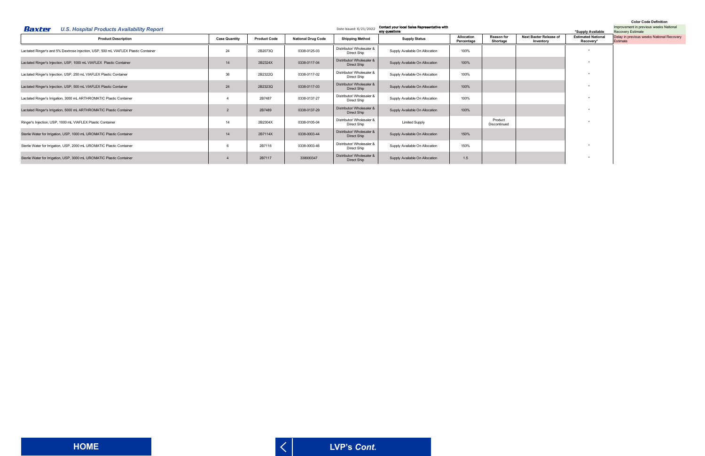<span id="page-16-0"></span>

| Baxter<br><b>U.S. Hospital Products Availability Report</b>                        |                      |                     |                           | Date Issued: 6/21/2022                   | Contact your local Sales Representative with<br>any questions |                          |                               |                                     | *Supply Available                      | Improvement in previous weeks National<br><b>Recovery Estimate</b> |
|------------------------------------------------------------------------------------|----------------------|---------------------|---------------------------|------------------------------------------|---------------------------------------------------------------|--------------------------|-------------------------------|-------------------------------------|----------------------------------------|--------------------------------------------------------------------|
| <b>Product Description</b>                                                         | <b>Case Quantity</b> | <b>Product Code</b> | <b>National Drug Code</b> | <b>Shipping Method</b>                   | <b>Supply Status</b>                                          | Allocation<br>Percentage | <b>Reason for</b><br>Shortage | Next Baxter Release of<br>Inventory | <b>Estimated National</b><br>Recovery* | Delay in previous weeks National Recovery<br>Estimate              |
| Lactated Ringer's and 5% Dextrose Injection, USP, 500 mL VIAFLEX Plastic Container | 24                   | 2B2073Q             | 0338-0125-03              | Distributor/ Wholesaler &<br>Direct Ship | Supply Available On Allocation                                | 100%                     |                               |                                     |                                        |                                                                    |
| Lactated Ringer's Injection, USP, 1000 mL VIAFLEX Plastic Container                | 14                   | 2B2324X             | 0338-0117-04              | Distributor/ Wholesaler &<br>Direct Ship | Supply Available On Allocation                                | 100%                     |                               |                                     |                                        |                                                                    |
| Lactated Ringer's Injection, USP, 250 mL VIAFLEX Plastic Container                 | 36                   | 2B2322Q             | 0338-0117-02              | Distributor/ Wholesaler &<br>Direct Ship | Supply Available On Allocation                                | 100%                     |                               |                                     |                                        |                                                                    |
| Lactated Ringer's Injection, USP, 500 mL VIAFLEX Plastic Container                 | 24                   | 2B2323Q             | 0338-0117-03              | Distributor/ Wholesaler &<br>Direct Ship | Supply Available On Allocation                                | 100%                     |                               |                                     |                                        |                                                                    |
| Lactated Ringer's Irrigation, 3000 mL ARTHROMATIC Plastic Container                |                      | 2B7487              | 0338-0137-27              | Distributor/ Wholesaler &<br>Direct Ship | Supply Available On Allocation                                | 100%                     |                               |                                     |                                        |                                                                    |
| Lactated Ringer's Irrigation, 5000 mL ARTHROMATIC Plastic Container                |                      | 2B7489              | 0338-0137-29              | Distributor/ Wholesaler &<br>Direct Ship | Supply Available On Allocation                                | 100%                     |                               |                                     |                                        |                                                                    |
| Ringer's Injection, USP, 1000 mL VIAFLEX Plastic Container                         | 14                   | 2B2304X             | 0338-0105-04              | Distributor/ Wholesaler &<br>Direct Ship | <b>Limited Supply</b>                                         |                          | Product<br>Discontinued       |                                     |                                        |                                                                    |
| Sterile Water for Irrigation, USP, 1000 mL UROMATIC Plastic Container              | 14                   | 2B7114X             | 0338-0003-44              | Distributor/ Wholesaler &<br>Direct Ship | Supply Available On Allocation                                | 150%                     |                               |                                     |                                        |                                                                    |
| Sterile Water for Irrigation, USP, 2000 mL UROMATIC Plastic Container              |                      | 2B7116              | 0338-0003-46              | Distributor/ Wholesaler &<br>Direct Ship | Supply Available On Allocation                                | 150%                     |                               |                                     |                                        |                                                                    |
| Sterile Water for Irrigation, USP, 3000 mL UROMATIC Plastic Container              |                      | 2B7117              | 338000347                 | Distributor/ Wholesaler &<br>Direct Ship | Supply Available On Allocation                                | 1.5                      |                               |                                     |                                        |                                                                    |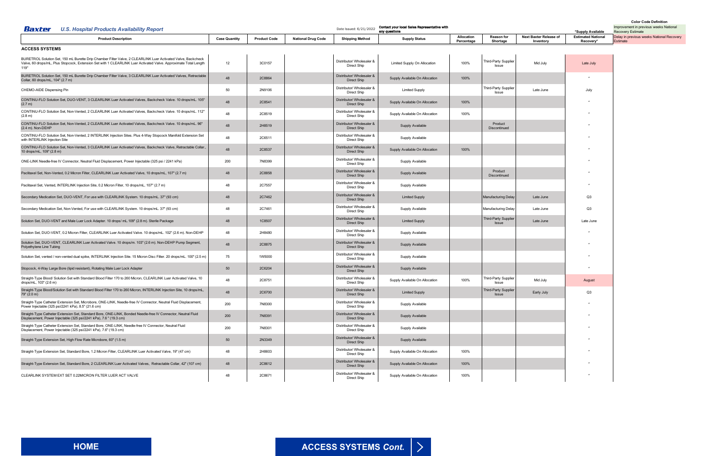<span id="page-17-0"></span>

| Baxter<br><b>U.S. Hospital Products Availability Report</b>                                                                                                                                                                              |                      |                     | Date Issued: 6/21/2022    | Contact your local Sales Representative with<br>any questions |                                |                          | *Supply Available                    | Improvement in previous weeks National<br><b>Recovery Estimate</b> |                                                    |                                                       |
|------------------------------------------------------------------------------------------------------------------------------------------------------------------------------------------------------------------------------------------|----------------------|---------------------|---------------------------|---------------------------------------------------------------|--------------------------------|--------------------------|--------------------------------------|--------------------------------------------------------------------|----------------------------------------------------|-------------------------------------------------------|
| <b>Product Description</b>                                                                                                                                                                                                               | <b>Case Quantity</b> | <b>Product Code</b> | <b>National Drug Code</b> | <b>Shipping Method</b>                                        | <b>Supply Status</b>           | Allocation<br>Percentage | <b>Reason for</b><br>Shortage        | Next Baxter Release of<br>Inventory                                | <b>Estimated National</b><br>Recovery <sup>*</sup> | Delay in previous weeks National Recovery<br>Estimate |
| <b>ACCESS SYSTEMS</b>                                                                                                                                                                                                                    |                      |                     |                           |                                                               |                                |                          |                                      |                                                                    |                                                    |                                                       |
| BURETROL Solution Set, 150 mL Burette Drip Chamber Filter Valve, 2 CLEARLINK Luer Activated Valve, Backcheck<br>Valve, 60 drops/mL, Plus Stopcock, Extension Set with 1 CLEARLINK Luer Activated Valve. Approximate Total Length<br>119" | 12                   | 3C0157              |                           | Distributor/ Wholesaler &<br>Direct Ship                      | Limited Supply On Allocation   | 100%                     | Third-Party Supplier<br>Issue        | Mid July                                                           | Late July                                          |                                                       |
| BURETROL Solution Set, 150 mL Burette Drip Chamber Filter Valve, 3 CLEARLINK Luer Activated Valves, Retractable<br>Collar, 60 drops/mL, 104" (2.7 m)                                                                                     | 48                   | 2C8864              |                           | Distributor/ Wholesaler &<br>Direct Ship                      | Supply Available On Allocation | 100%                     |                                      |                                                                    |                                                    |                                                       |
| CHEMO-AIDE Dispensing Pin                                                                                                                                                                                                                | 50                   | 2N9106              |                           | Distributor/ Wholesaler &<br>Direct Ship                      | <b>Limited Supply</b>          |                          | Third-Party Supplier<br>Issue        | Late June                                                          | July                                               |                                                       |
| CONTINU-FLO Solution Set, DUO-VENT, 3 CLEARLINK Luer Activated Valves, Backcheck Valve. 10 drops/mL. 105"<br>(2.7 m)                                                                                                                     | 48                   | 2C8541              |                           | Distributor/ Wholesaler &<br>Direct Ship                      | Supply Available On Allocation | 100%                     |                                      |                                                                    |                                                    |                                                       |
| CONTINU-FLO Solution Set, Non-Vented, 2 CLEARLINK Luer Activated Valves, Backcheck Valve. 10 drops/mL. 112"<br>(2.8 m)                                                                                                                   | 48                   | 2C8519              |                           | Distributor/ Wholesaler &<br>Direct Ship                      | Supply Available On Allocation | 100%                     |                                      |                                                                    |                                                    |                                                       |
| CONTINU-FLO Solution Set, Non-Vented, 2 CLEARLINK Luer Activated Valves, Backcheck Valve. 10 drops/mL. 96"<br>(2.4 m). Non-DEHP                                                                                                          | 48                   | 2H8519              |                           | Distributor/ Wholesaler &<br>Direct Ship                      | Supply Available               |                          | Product<br>Discontinued              |                                                                    |                                                    |                                                       |
| CONTINU-FLO Solution Set, Non-Vented, 2 INTERLINK Injection Sites. Plus 4-Way Stopcock Manifold Extension Set<br>with INTERLINK Injection Site                                                                                           | 48                   | 2C6511              |                           | Distributor/ Wholesaler &<br>Direct Ship                      | Supply Available               |                          |                                      |                                                                    |                                                    |                                                       |
| CONTINU-FLO Solution Set, Non-Vented, 3 CLEARLINK Luer Activated Valves, Backcheck Valve, Retractable Collar.<br>10 drops/mL, 109" (2.8 m)                                                                                               | 48                   | 2C8537              |                           | Distributor/ Wholesaler &<br>Direct Ship                      | Supply Available On Allocation | 100%                     |                                      |                                                                    |                                                    |                                                       |
| ONE-LINK Needle-free IV Connector, Neutral Fluid Displacement, Power Injectable (325 psi / 2241 kPa)                                                                                                                                     | 200                  | 7N8399              |                           | Distributor/ Wholesaler &<br>Direct Ship                      | Supply Available               |                          |                                      |                                                                    |                                                    |                                                       |
| Paclitaxel Set, Non-Vented, 0.2 Micron Filter, CLEARLINK Luer Activated Valve, 10 drops/mL, 107" (2.7 m)                                                                                                                                 | 48                   | 2C8858              |                           | Distributor/ Wholesaler &<br>Direct Ship                      | Supply Available               |                          | Product<br>Discontinued              |                                                                    |                                                    |                                                       |
| Paclitaxel Set, Vented, INTERLINK Injection Site, 0.2 Micron Filter, 10 drops/mL, 107" (2.7 m)                                                                                                                                           | 48                   | 2C7557              |                           | Distributor/ Wholesaler &<br>Direct Ship                      | Supply Available               |                          |                                      |                                                                    |                                                    |                                                       |
| Secondary Medication Set, DUO-VENT, For use with CLEARLINK System. 10 drops/mL. 37" (93 cm)                                                                                                                                              | 48                   | 2C7462              |                           | Distributor/ Wholesaler &<br>Direct Ship                      | <b>Limited Supply</b>          |                          | <b>Manufacturing Delay</b>           | Late June                                                          | Q3                                                 |                                                       |
| Secondary Medication Set, Non-Vented, For use with CLEARLINK System. 10 drops/mL. 37" (93 cm)                                                                                                                                            | 48                   | 2C7461              |                           | Distributor/ Wholesaler &<br>Direct Ship                      | Supply Available               |                          | <b>Manufacturing Delay</b>           | Late June                                                          | Q3                                                 |                                                       |
| Solution Set, DUO-VENT and Male Luer Lock Adapter. 10 drops/mL.109" (2.8 m). Sterile Package                                                                                                                                             | 48                   | 1C8507              |                           | Distributor/ Wholesaler &<br>Direct Ship                      | <b>Limited Supply</b>          |                          | Third-Party Supplier<br><b>Issue</b> | Late June                                                          | Late June                                          |                                                       |
| Solution Set, DUO-VENT, 0.2 Micron Filter, CLEARLINK Luer Activated Valve. 10 drops/mL. 102" (2.6 m). Non-DEHP                                                                                                                           | 48                   | 2H8480              |                           | Distributor/ Wholesaler &<br>Direct Ship                      | Supply Available               |                          |                                      |                                                                    |                                                    |                                                       |
| Solution Set, DUO-VENT, CLEARLINK Luer Activated Valve. 10 drops/m. 103" (2.6 m). Non-DEHP Pump Segment,<br>Polyethylene Line Tubing                                                                                                     | 48                   | 2C8875              |                           | Distributor/ Wholesaler &<br>Direct Ship                      | Supply Available               |                          |                                      |                                                                    |                                                    |                                                       |
| Solution Set, vented / non-vented dual spike, INTERLINK Injection Site. 15 Micron Disc Filter. 20 drops/mL. 100" (2.5 m)                                                                                                                 | 75                   | 1W5000              |                           | Distributor/ Wholesaler &<br>Direct Ship                      | Supply Available               |                          |                                      |                                                                    |                                                    |                                                       |
| Stopcock, 4-Way Large Bore (lipid resistant), Rotating Male Luer Lock Adapter                                                                                                                                                            | 50                   | 2C6204              |                           | Distributor/ Wholesaler &<br>Direct Ship                      | Supply Available               |                          |                                      |                                                                    |                                                    |                                                       |
| Straight-Type Blood/ Solution Set with Standard Blood Filter 170 to 260 Micron, CLEARLINK Luer Activated Valve, 10<br>drops/mL, 103" (2.6 m)                                                                                             | 48                   | 2C8751              |                           | Distributor/ Wholesaler &<br>Direct Ship                      | Supply Available On Allocation | 100%                     | Third-Party Supplier<br><b>ISSUE</b> | Mid July                                                           | August                                             |                                                       |
| Straight-Type Blood/Solution Set with Standard Blood Filter 170 to 260 Micron, INTERLINK Injection Site, 10 drops/mL,<br>79''(2.0 m)                                                                                                     | 48                   | <b>2C6700</b>       |                           | Distributor/ Wholesaler &<br>Direct Ship                      | <b>Limited Supply</b>          |                          | Third-Party Supplier<br><b>Issue</b> | Early July                                                         | Q3                                                 |                                                       |
| Straight-Type Catheter Extension Set, Microbore, ONE-LINK, Needle-free IV Connector, Neutral Fluid Displacement,<br>Power Injectable (325 psi/2241 kPa), 8.5" (21.6 cm)                                                                  | 200                  | 7N8300              |                           | Distributor/ Wholesaler &<br>Direct Ship                      | Supply Available               |                          |                                      |                                                                    |                                                    |                                                       |
| Straight-Type Catheter Extension Set, Standard Bore, ONE-LINK, Bonded Needle-free IV Connector, Neutral Fluid<br>Displacement, Power Injectable (325 psi/2241 kPa), 7.6 " (19.3 cm)                                                      | 200                  | 7N8391              |                           | Distributor/ Wholesaler &<br>Direct Ship                      | Supply Available               |                          |                                      |                                                                    |                                                    |                                                       |
| Straight-Type Catheter Extension Set, Standard Bore, ONE-LINK, Needle-free IV Connector, Neutral Fluid<br>Displacement, Power Injectable (325 psi/2241 kPa), 7.6" (19.3 cm)                                                              | 200                  | 7N8301              |                           | Distributor/ Wholesaler &<br>Direct Ship                      | Supply Available               |                          |                                      |                                                                    |                                                    |                                                       |
| Straight-Type Extension Set, High Flow Rate Microbore, 60" (1.5 m)                                                                                                                                                                       | 50                   | 2N3349              |                           | Distributor/ Wholesaler &<br>Direct Ship                      | Supply Available               |                          |                                      |                                                                    |                                                    |                                                       |
| Straight-Type Extension Set, Standard Bore, 1.2 Micron Filter, CLEARLINK Luer Activated Valve, 19" (47 cm)                                                                                                                               | 48                   | 2H8603              |                           | Distributor/ Wholesaler &<br>Direct Ship                      | Supply Available On Allocation | 100%                     |                                      |                                                                    |                                                    |                                                       |
| Straight-Type Extension Set, Standard Bore, 2 CLEARLINK Luer Activated Valves, Retractable Collar, 42" (107 cm)                                                                                                                          | 48                   | 2C8612              |                           | Distributor/ Wholesaler &<br>Direct Ship                      | Supply Available On Allocation | 100%                     |                                      |                                                                    |                                                    |                                                       |
| CLEARLINK SYSTEM EXT SET 0.22MICRON FILTER LUER ACT VALVE                                                                                                                                                                                | 48                   | 2C8671              |                           | Distributor/ Wholesaler &<br>Direct Ship                      | Supply Available On Allocation | 100%                     |                                      |                                                                    |                                                    |                                                       |